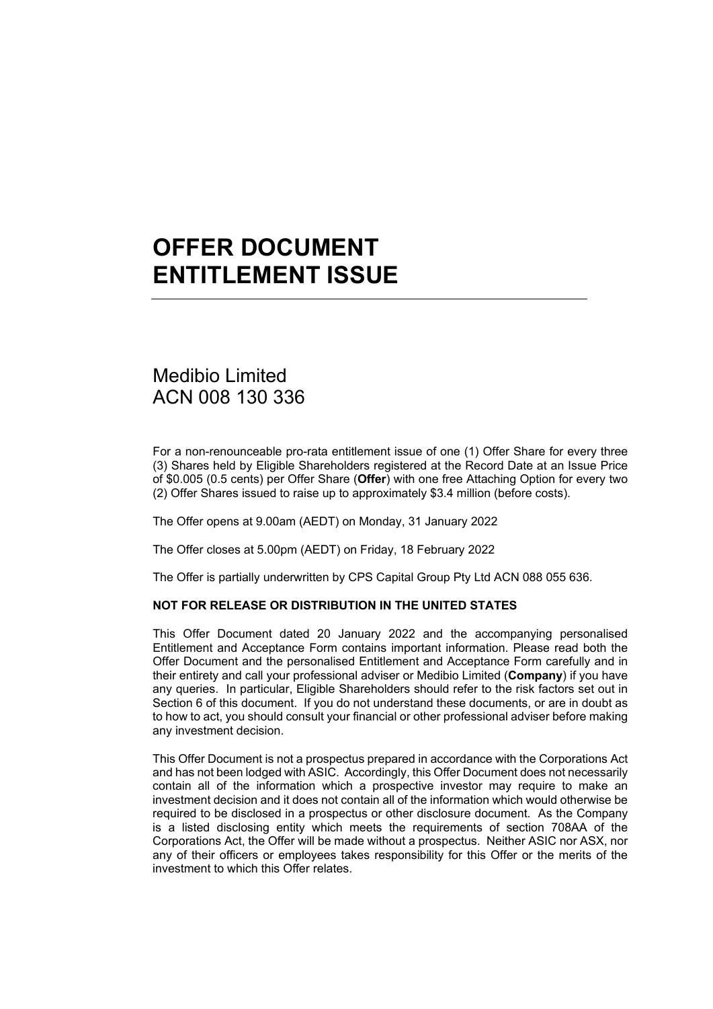# **OFFER DOCUMENT ENTITLEMENT ISSUE**

# Medibio Limited ACN 008 130 336

For a non-renounceable pro-rata entitlement issue of one (1) Offer Share for every three (3) Shares held by Eligible Shareholders registered at the Record Date at an Issue Price of \$0.005 (0.5 cents) per Offer Share (**Offer**) with one free Attaching Option for every two (2) Offer Shares issued to raise up to approximately \$3.4 million (before costs).

The Offer opens at 9.00am (AEDT) on Monday, 31 January 2022

The Offer closes at 5.00pm (AEDT) on Friday, 18 February 2022

The Offer is partially underwritten by CPS Capital Group Pty Ltd ACN 088 055 636.

#### **NOT FOR RELEASE OR DISTRIBUTION IN THE UNITED STATES**

This Offer Document dated 20 January 2022 and the accompanying personalised Entitlement and Acceptance Form contains important information. Please read both the Offer Document and the personalised Entitlement and Acceptance Form carefully and in their entirety and call your professional adviser or Medibio Limited (**Company**) if you have any queries. In particular, Eligible Shareholders should refer to the risk factors set out in Section [6](#page-20-0) of this document. If you do not understand these documents, or are in doubt as to how to act, you should consult your financial or other professional adviser before making any investment decision.

This Offer Document is not a prospectus prepared in accordance with the Corporations Act and has not been lodged with ASIC. Accordingly, this Offer Document does not necessarily contain all of the information which a prospective investor may require to make an investment decision and it does not contain all of the information which would otherwise be required to be disclosed in a prospectus or other disclosure document. As the Company is a listed disclosing entity which meets the requirements of section 708AA of the Corporations Act, the Offer will be made without a prospectus. Neither ASIC nor ASX, nor any of their officers or employees takes responsibility for this Offer or the merits of the investment to which this Offer relates.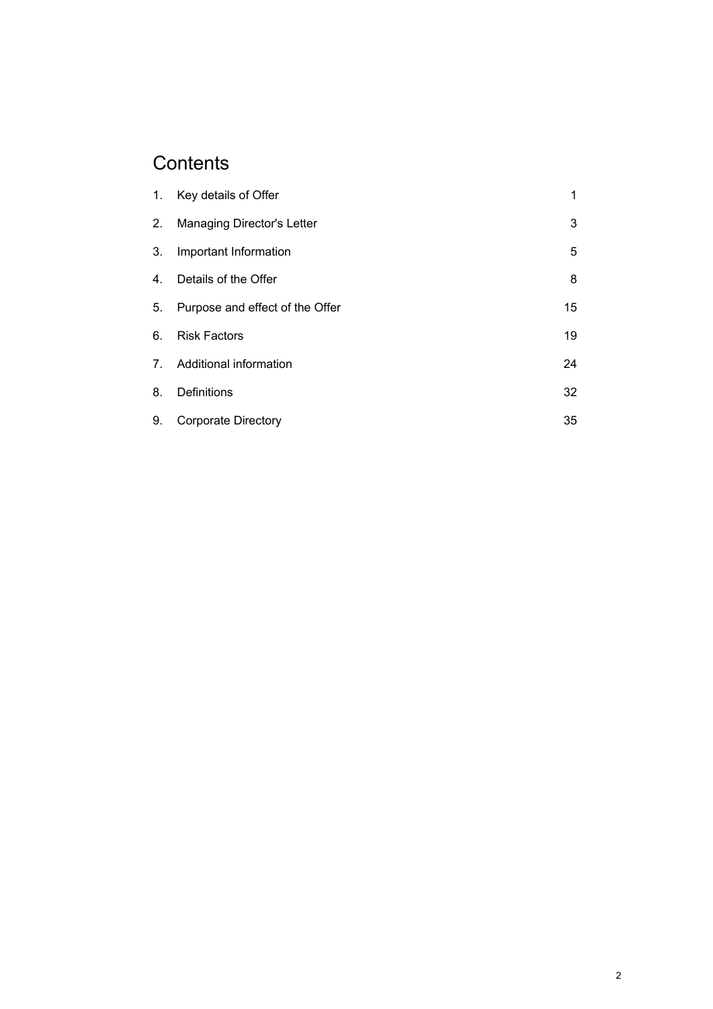# **Contents**

|    | 1. Key details of Offer         | 1  |
|----|---------------------------------|----|
|    | 2. Managing Director's Letter   | 3  |
| 3. | Important Information           | 5  |
| 4. | Details of the Offer            | 8  |
| 5. | Purpose and effect of the Offer | 15 |
| 6. | <b>Risk Factors</b>             | 19 |
|    | 7. Additional information       | 24 |
| 8. | <b>Definitions</b>              | 32 |
| 9. | <b>Corporate Directory</b>      | 35 |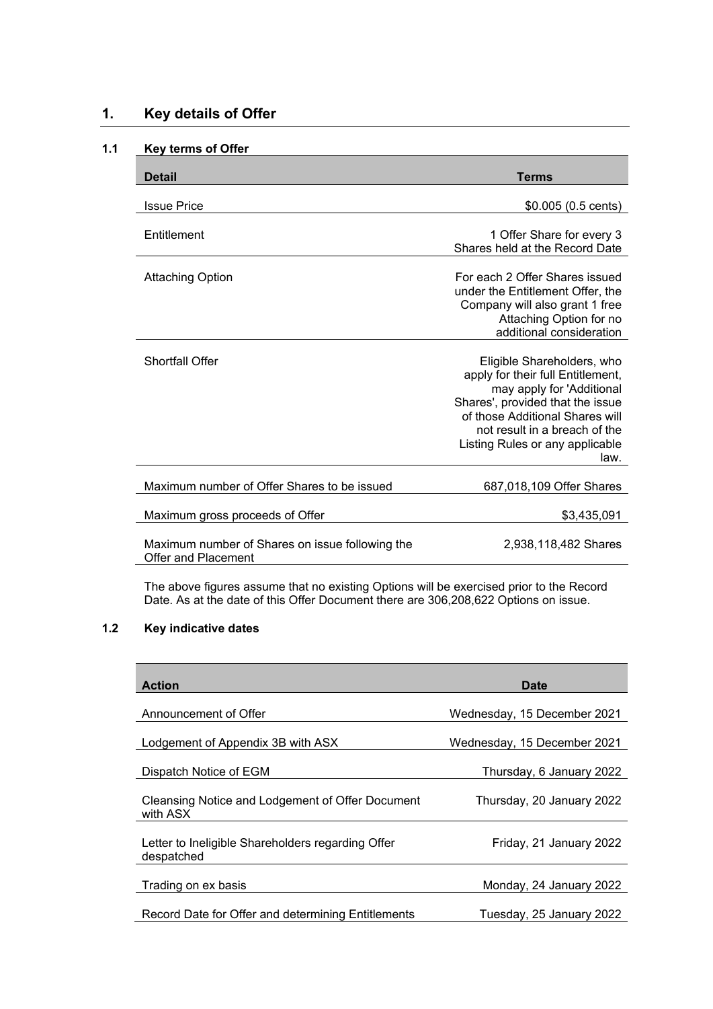# **1. Key details of Offer**

# **1.1 Key terms of Offer**

| <b>Detail</b>                                                          | Terms                                                                                                                                                                                                                                           |
|------------------------------------------------------------------------|-------------------------------------------------------------------------------------------------------------------------------------------------------------------------------------------------------------------------------------------------|
| <b>Issue Price</b>                                                     | $$0.005(0.5 \text{ cents})$                                                                                                                                                                                                                     |
| Entitlement                                                            | 1 Offer Share for every 3<br>Shares held at the Record Date                                                                                                                                                                                     |
| <b>Attaching Option</b>                                                | For each 2 Offer Shares issued<br>under the Entitlement Offer, the<br>Company will also grant 1 free<br>Attaching Option for no<br>additional consideration                                                                                     |
| <b>Shortfall Offer</b>                                                 | Eligible Shareholders, who<br>apply for their full Entitlement,<br>may apply for 'Additional<br>Shares', provided that the issue<br>of those Additional Shares will<br>not result in a breach of the<br>Listing Rules or any applicable<br>law. |
| Maximum number of Offer Shares to be issued                            | 687,018,109 Offer Shares                                                                                                                                                                                                                        |
| Maximum gross proceeds of Offer                                        | \$3,435,091                                                                                                                                                                                                                                     |
| Maximum number of Shares on issue following the<br>Offer and Placement | 2,938,118,482 Shares                                                                                                                                                                                                                            |

The above figures assume that no existing Options will be exercised prior to the Record Date. As at the date of this Offer Document there are 306,208,622 Options on issue.

# <span id="page-2-0"></span>**1.2 Key indicative dates**

| <b>Action</b>                                                   | Date                        |
|-----------------------------------------------------------------|-----------------------------|
| Announcement of Offer                                           | Wednesday, 15 December 2021 |
| Lodgement of Appendix 3B with ASX                               | Wednesday, 15 December 2021 |
| Dispatch Notice of EGM                                          | Thursday, 6 January 2022    |
| Cleansing Notice and Lodgement of Offer Document<br>with ASX    | Thursday, 20 January 2022   |
| Letter to Ineligible Shareholders regarding Offer<br>despatched | Friday, 21 January 2022     |
| Trading on ex basis                                             | Monday, 24 January 2022     |
| Record Date for Offer and determining Entitlements              | Tuesday, 25 January 2022    |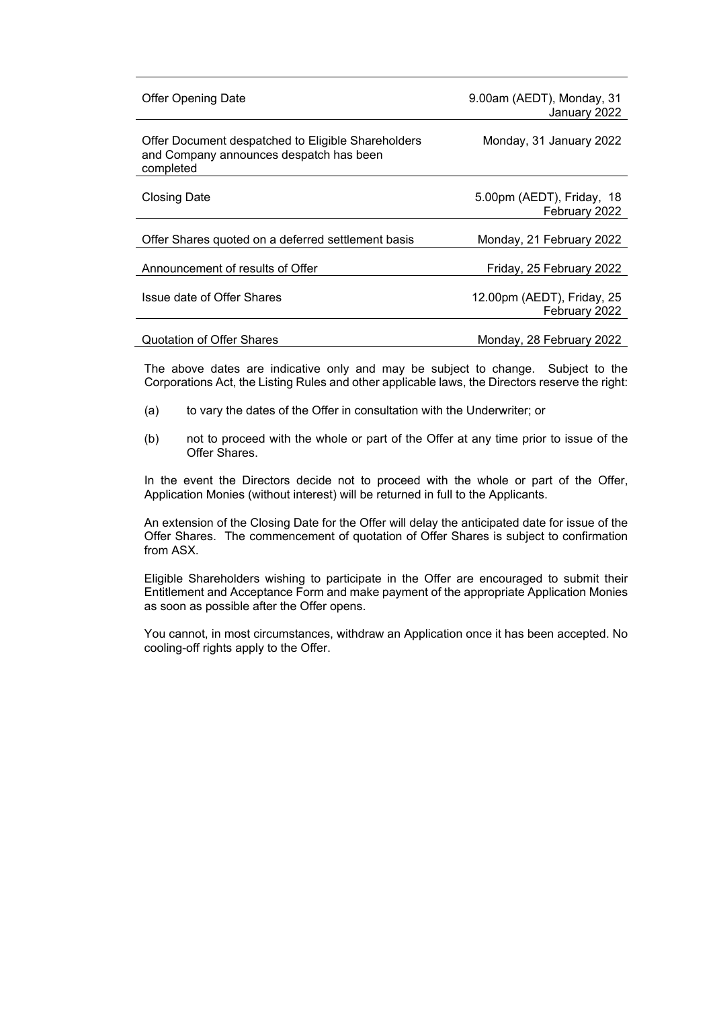| <b>Offer Opening Date</b>                                                                                  | 9.00am (AEDT), Monday, 31<br>January 2022   |
|------------------------------------------------------------------------------------------------------------|---------------------------------------------|
| Offer Document despatched to Eligible Shareholders<br>and Company announces despatch has been<br>completed | Monday, 31 January 2022                     |
| <b>Closing Date</b>                                                                                        | 5.00pm (AEDT), Friday, 18<br>February 2022  |
| Offer Shares quoted on a deferred settlement basis                                                         | Monday, 21 February 2022                    |
| Announcement of results of Offer                                                                           | Friday, 25 February 2022                    |
| Issue date of Offer Shares                                                                                 | 12.00pm (AEDT), Friday, 25<br>February 2022 |
| Quotation of Offer Shares                                                                                  | Monday, 28 February 2022                    |

The above dates are indicative only and may be subject to change. Subject to the Corporations Act, the Listing Rules and other applicable laws, the Directors reserve the right:

- (a) to vary the dates of the Offer in consultation with the Underwriter; or
- (b) not to proceed with the whole or part of the Offer at any time prior to issue of the Offer Shares.

In the event the Directors decide not to proceed with the whole or part of the Offer, Application Monies (without interest) will be returned in full to the Applicants.

An extension of the Closing Date for the Offer will delay the anticipated date for issue of the Offer Shares. The commencement of quotation of Offer Shares is subject to confirmation from ASX.

Eligible Shareholders wishing to participate in the Offer are encouraged to submit their Entitlement and Acceptance Form and make payment of the appropriate Application Monies as soon as possible after the Offer opens.

You cannot, in most circumstances, withdraw an Application once it has been accepted. No cooling-off rights apply to the Offer.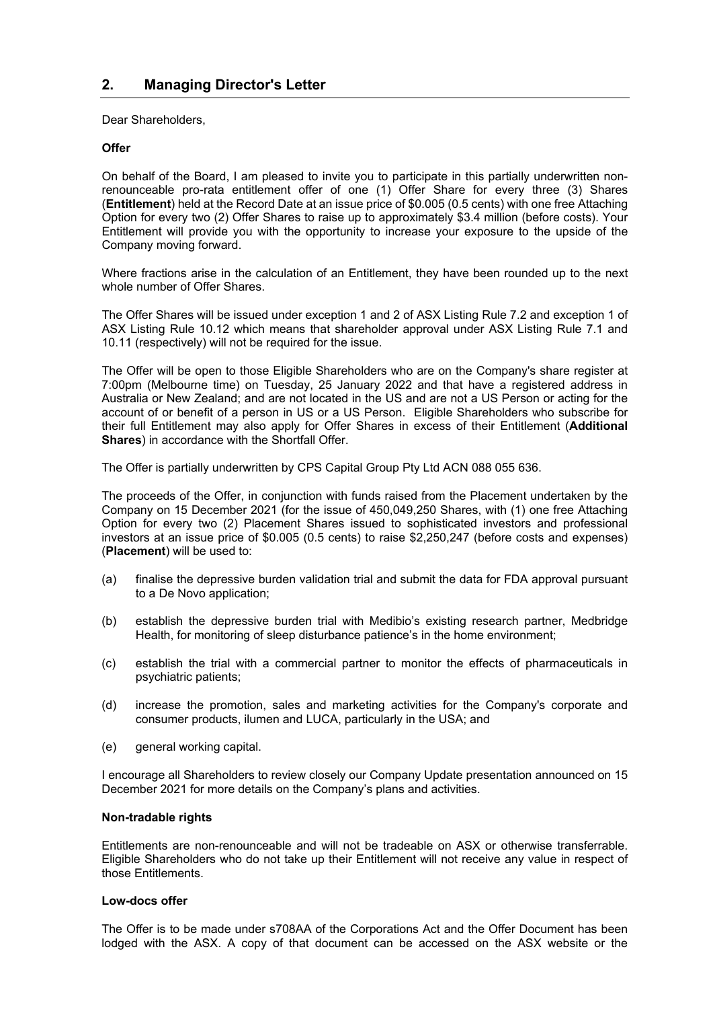<span id="page-4-0"></span>Dear Shareholders,

# **Offer**

On behalf of the Board, I am pleased to invite you to participate in this partially underwritten nonrenounceable pro-rata entitlement offer of one (1) Offer Share for every three (3) Shares (**Entitlement**) held at the Record Date at an issue price of \$0.005 (0.5 cents) with one free Attaching Option for every two (2) Offer Shares to raise up to approximately \$3.4 million (before costs). Your Entitlement will provide you with the opportunity to increase your exposure to the upside of the Company moving forward.

Where fractions arise in the calculation of an Entitlement, they have been rounded up to the next whole number of Offer Shares.

The Offer Shares will be issued under exception 1 and 2 of ASX Listing Rule 7.2 and exception 1 of ASX Listing Rule 10.12 which means that shareholder approval under ASX Listing Rule 7.1 and 10.11 (respectively) will not be required for the issue.

The Offer will be open to those Eligible Shareholders who are on the Company's share register at 7:00pm (Melbourne time) on Tuesday, 25 January 2022 and that have a registered address in Australia or New Zealand; and are not located in the US and are not a US Person or acting for the account of or benefit of a person in US or a US Person. Eligible Shareholders who subscribe for their full Entitlement may also apply for Offer Shares in excess of their Entitlement (**Additional Shares**) in accordance with the Shortfall Offer.

The Offer is partially underwritten by CPS Capital Group Pty Ltd ACN 088 055 636.

The proceeds of the Offer, in conjunction with funds raised from the Placement undertaken by the Company on 15 December 2021 (for the issue of 450,049,250 Shares, with (1) one free Attaching Option for every two (2) Placement Shares issued to sophisticated investors and professional investors at an issue price of \$0.005 (0.5 cents) to raise \$2,250,247 (before costs and expenses) (**Placement**) will be used to:

- (a) finalise the depressive burden validation trial and submit the data for FDA approval pursuant to a De Novo application;
- (b) establish the depressive burden trial with Medibio's existing research partner, Medbridge Health, for monitoring of sleep disturbance patience's in the home environment;
- (c) establish the trial with a commercial partner to monitor the effects of pharmaceuticals in psychiatric patients;
- (d) increase the promotion, sales and marketing activities for the Company's corporate and consumer products, ilumen and LUCA, particularly in the USA; and
- (e) general working capital.

I encourage all Shareholders to review closely our Company Update presentation announced on 15 December 2021 for more details on the Company's plans and activities.

#### **Non-tradable rights**

Entitlements are non-renounceable and will not be tradeable on ASX or otherwise transferrable. Eligible Shareholders who do not take up their Entitlement will not receive any value in respect of those Entitlements.

#### **Low-docs offer**

The Offer is to be made under s708AA of the Corporations Act and the Offer Document has been lodged with the ASX. A copy of that document can be accessed on the ASX website or the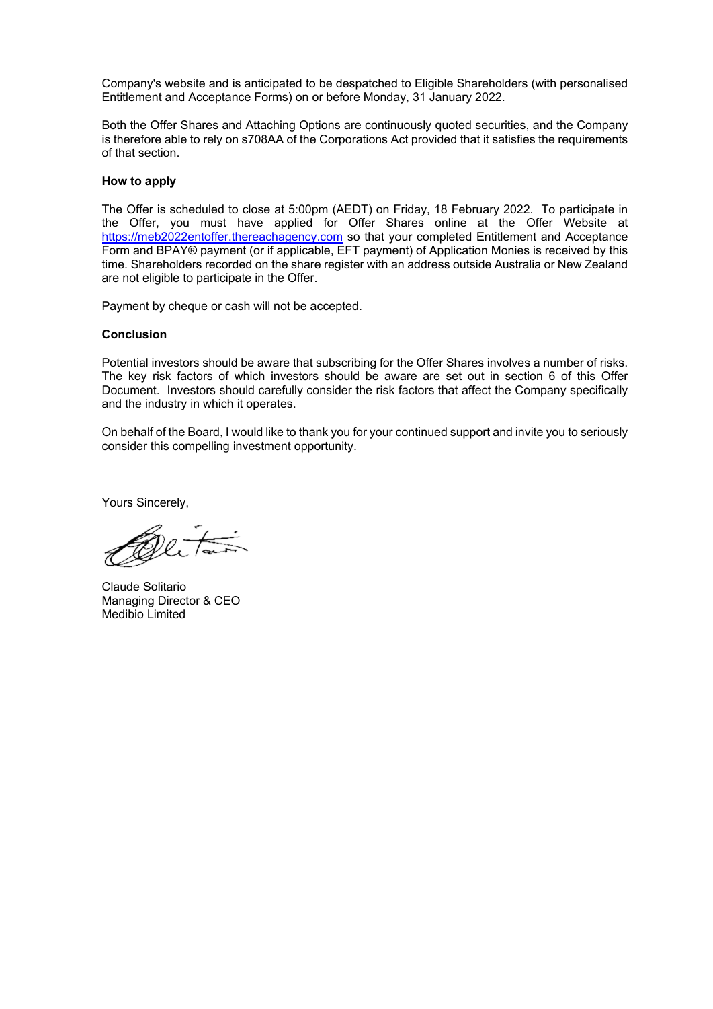Company's website and is anticipated to be despatched to Eligible Shareholders (with personalised Entitlement and Acceptance Forms) on or before Monday, 31 January 2022.

Both the Offer Shares and Attaching Options are continuously quoted securities, and the Company is therefore able to rely on s708AA of the Corporations Act provided that it satisfies the requirements of that section.

#### **How to apply**

The Offer is scheduled to close at 5:00pm (AEDT) on Friday, 18 February 2022. To participate in the Offer, you must have applied for Offer Shares online at the Offer Website at [https://meb2022entoffer.thereachagency.com](https://meb2022entoffer.thereachagency.com/) so that your completed Entitlement and Acceptance Form and BPAY® payment (or if applicable, EFT payment) of Application Monies is received by this time. Shareholders recorded on the share register with an address outside Australia or New Zealand are not eligible to participate in the Offer.

Payment by cheque or cash will not be accepted.

#### **Conclusion**

Potential investors should be aware that subscribing for the Offer Shares involves a number of risks. The key risk factors of which investors should be aware are set out in section [6](#page-20-0) of this Offer Document. Investors should carefully consider the risk factors that affect the Company specifically and the industry in which it operates.

On behalf of the Board, I would like to thank you for your continued support and invite you to seriously consider this compelling investment opportunity.

Yours Sincerely,

Quiton

Claude Solitario Managing Director & CEO Medibio Limited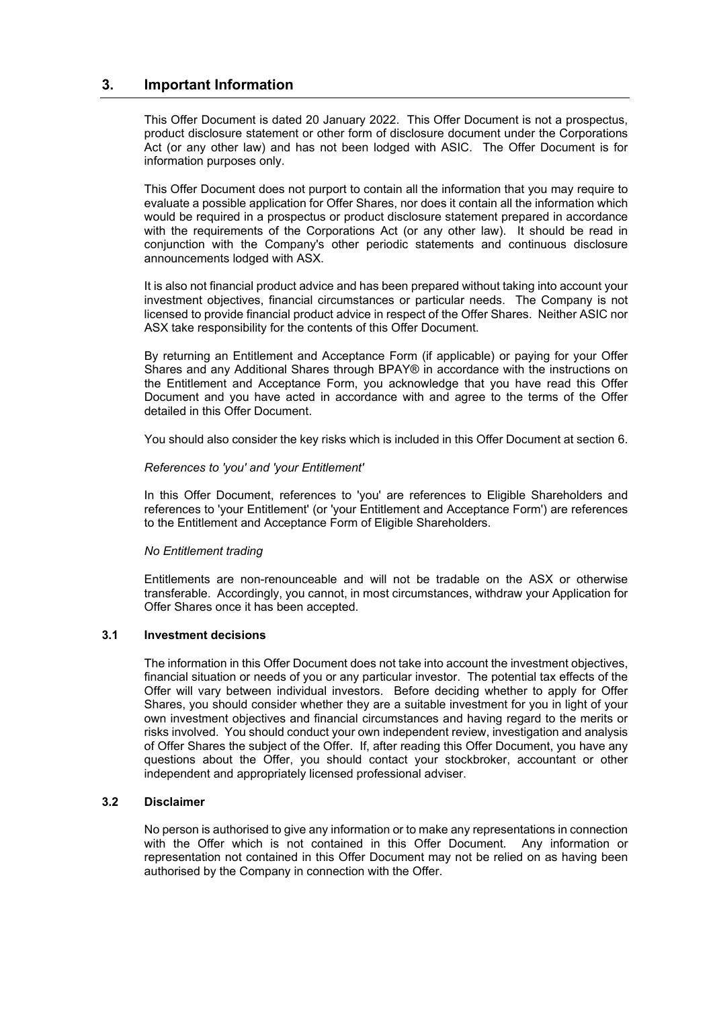# **3. Important Information**

This Offer Document is dated 20 January 2022. This Offer Document is not a prospectus, product disclosure statement or other form of disclosure document under the Corporations Act (or any other law) and has not been lodged with ASIC. The Offer Document is for information purposes only.

This Offer Document does not purport to contain all the information that you may require to evaluate a possible application for Offer Shares, nor does it contain all the information which would be required in a prospectus or product disclosure statement prepared in accordance with the requirements of the Corporations Act (or any other law). It should be read in conjunction with the Company's other periodic statements and continuous disclosure announcements lodged with ASX.

It is also not financial product advice and has been prepared without taking into account your investment objectives, financial circumstances or particular needs. The Company is not licensed to provide financial product advice in respect of the Offer Shares. Neither ASIC nor ASX take responsibility for the contents of this Offer Document.

By returning an Entitlement and Acceptance Form (if applicable) or paying for your Offer Shares and any Additional Shares through BPAY® in accordance with the instructions on the Entitlement and Acceptance Form, you acknowledge that you have read this Offer Document and you have acted in accordance with and agree to the terms of the Offer detailed in this Offer Document.

You should also consider the key risks which is included in this Offer Document at section [6.](#page-20-0)

#### *References to 'you' and 'your Entitlement'*

In this Offer Document, references to 'you' are references to Eligible Shareholders and references to 'your Entitlement' (or 'your Entitlement and Acceptance Form') are references to the Entitlement and Acceptance Form of Eligible Shareholders.

#### *No Entitlement trading*

Entitlements are non-renounceable and will not be tradable on the ASX or otherwise transferable. Accordingly, you cannot, in most circumstances, withdraw your Application for Offer Shares once it has been accepted.

#### **3.1 Investment decisions**

The information in this Offer Document does not take into account the investment objectives, financial situation or needs of you or any particular investor. The potential tax effects of the Offer will vary between individual investors. Before deciding whether to apply for Offer Shares, you should consider whether they are a suitable investment for you in light of your own investment objectives and financial circumstances and having regard to the merits or risks involved. You should conduct your own independent review, investigation and analysis of Offer Shares the subject of the Offer. If, after reading this Offer Document, you have any questions about the Offer, you should contact your stockbroker, accountant or other independent and appropriately licensed professional adviser.

# **3.2 Disclaimer**

No person is authorised to give any information or to make any representations in connection with the Offer which is not contained in this Offer Document. Any information or representation not contained in this Offer Document may not be relied on as having been authorised by the Company in connection with the Offer.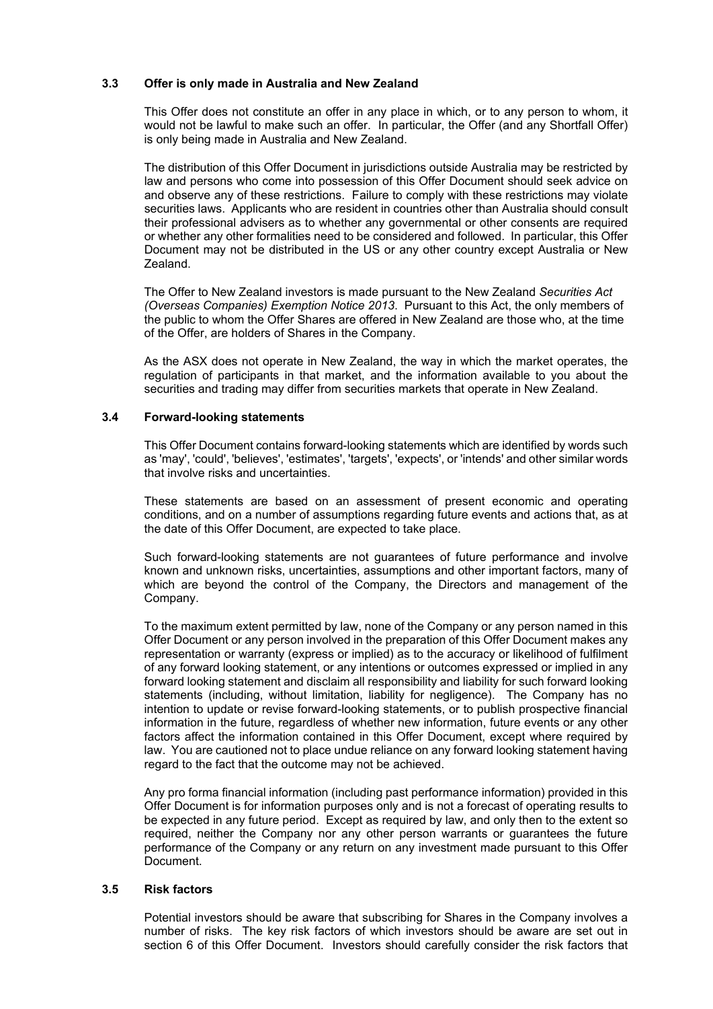# **3.3 Offer is only made in Australia and New Zealand**

This Offer does not constitute an offer in any place in which, or to any person to whom, it would not be lawful to make such an offer. In particular, the Offer (and any Shortfall Offer) is only being made in Australia and New Zealand.

The distribution of this Offer Document in jurisdictions outside Australia may be restricted by law and persons who come into possession of this Offer Document should seek advice on and observe any of these restrictions. Failure to comply with these restrictions may violate securities laws. Applicants who are resident in countries other than Australia should consult their professional advisers as to whether any governmental or other consents are required or whether any other formalities need to be considered and followed. In particular, this Offer Document may not be distributed in the US or any other country except Australia or New Zealand.

The Offer to New Zealand investors is made pursuant to the New Zealand *Securities Act (Overseas Companies) Exemption Notice 2013*. Pursuant to this Act, the only members of the public to whom the Offer Shares are offered in New Zealand are those who, at the time of the Offer, are holders of Shares in the Company.

As the ASX does not operate in New Zealand, the way in which the market operates, the regulation of participants in that market, and the information available to you about the securities and trading may differ from securities markets that operate in New Zealand.

#### **3.4 Forward-looking statements**

This Offer Document contains forward-looking statements which are identified by words such as 'may', 'could', 'believes', 'estimates', 'targets', 'expects', or 'intends' and other similar words that involve risks and uncertainties.

These statements are based on an assessment of present economic and operating conditions, and on a number of assumptions regarding future events and actions that, as at the date of this Offer Document, are expected to take place.

Such forward-looking statements are not guarantees of future performance and involve known and unknown risks, uncertainties, assumptions and other important factors, many of which are beyond the control of the Company, the Directors and management of the Company.

To the maximum extent permitted by law, none of the Company or any person named in this Offer Document or any person involved in the preparation of this Offer Document makes any representation or warranty (express or implied) as to the accuracy or likelihood of fulfilment of any forward looking statement, or any intentions or outcomes expressed or implied in any forward looking statement and disclaim all responsibility and liability for such forward looking statements (including, without limitation, liability for negligence). The Company has no intention to update or revise forward-looking statements, or to publish prospective financial information in the future, regardless of whether new information, future events or any other factors affect the information contained in this Offer Document, except where required by law. You are cautioned not to place undue reliance on any forward looking statement having regard to the fact that the outcome may not be achieved.

Any pro forma financial information (including past performance information) provided in this Offer Document is for information purposes only and is not a forecast of operating results to be expected in any future period. Except as required by law, and only then to the extent so required, neither the Company nor any other person warrants or guarantees the future performance of the Company or any return on any investment made pursuant to this Offer Document.

# **3.5 Risk factors**

Potential investors should be aware that subscribing for Shares in the Company involves a number of risks. The key risk factors of which investors should be aware are set out in section [6](#page-20-0) of this Offer Document. Investors should carefully consider the risk factors that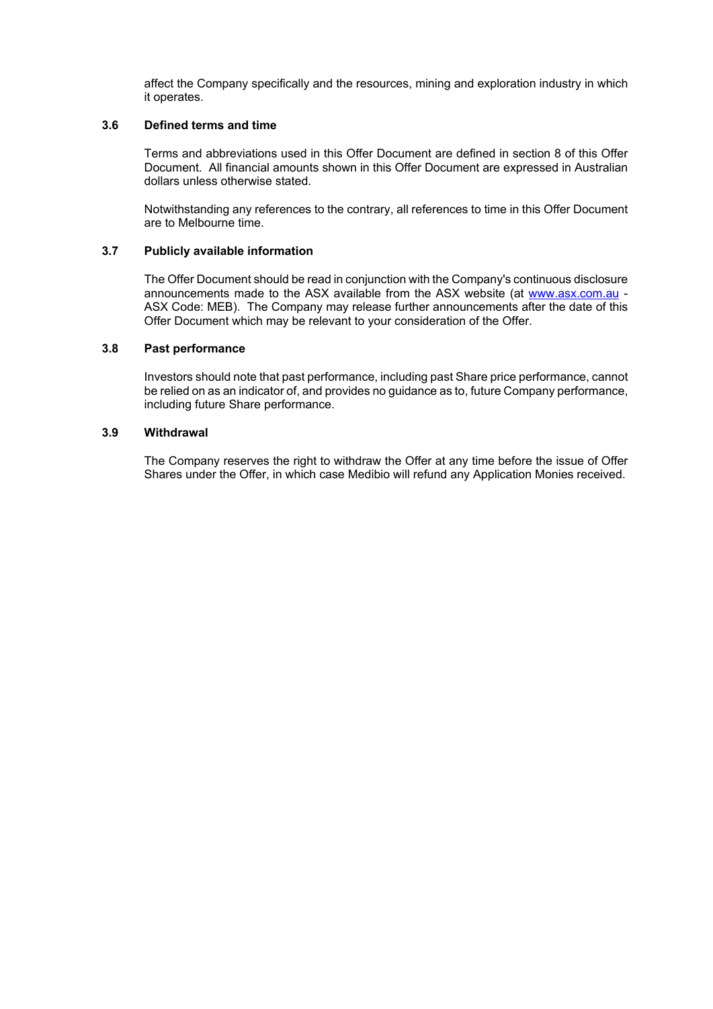affect the Company specifically and the resources, mining and exploration industry in which it operates.

#### **3.6 Defined terms and time**

Terms and abbreviations used in this Offer Document are defined in section [8](#page-33-0) of this Offer Document. All financial amounts shown in this Offer Document are expressed in Australian dollars unless otherwise stated.

Notwithstanding any references to the contrary, all references to time in this Offer Document are to Melbourne time.

#### **3.7 Publicly available information**

The Offer Document should be read in conjunction with the Company's continuous disclosure announcements made to the ASX available from the ASX website (at [www.asx.com.au](http://www.asx.com.au/) - ASX Code: MEB). The Company may release further announcements after the date of this Offer Document which may be relevant to your consideration of the Offer.

# **3.8 Past performance**

Investors should note that past performance, including past Share price performance, cannot be relied on as an indicator of, and provides no guidance as to, future Company performance, including future Share performance.

#### **3.9 Withdrawal**

The Company reserves the right to withdraw the Offer at any time before the issue of Offer Shares under the Offer, in which case Medibio will refund any Application Monies received.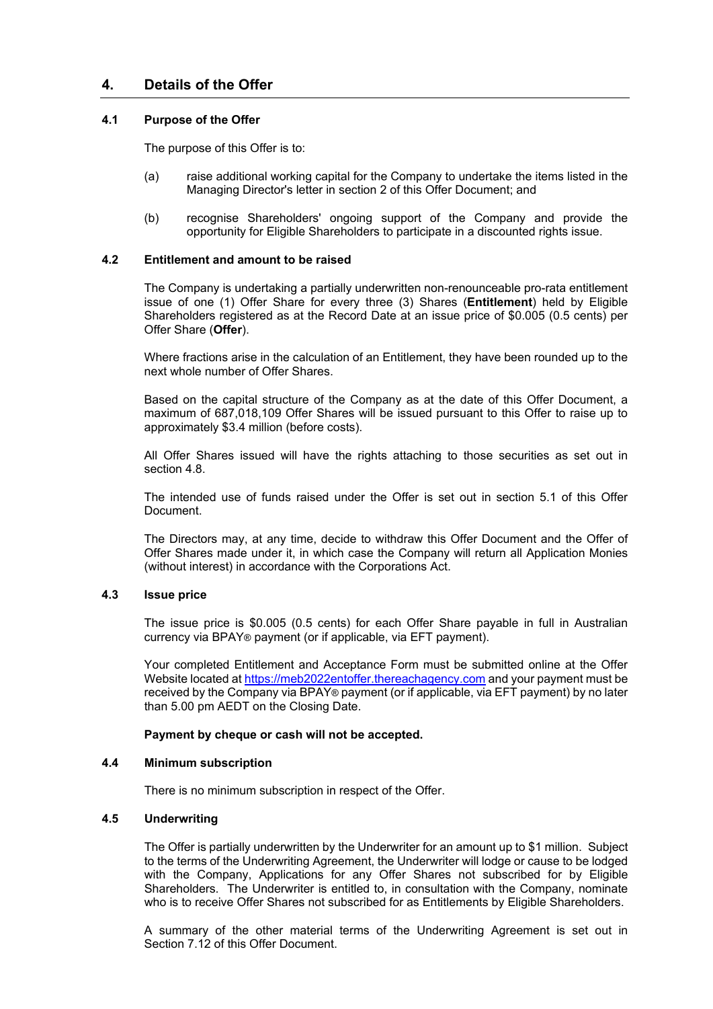# **4. Details of the Offer**

#### **4.1 Purpose of the Offer**

The purpose of this Offer is to:

- (a) raise additional working capital for the Company to undertake the items listed in the Managing Director's letter in section [2](#page-4-0) of this Offer Document; and
- (b) recognise Shareholders' ongoing support of the Company and provide the opportunity for Eligible Shareholders to participate in a discounted rights issue.

## **4.2 Entitlement and amount to be raised**

The Company is undertaking a partially underwritten non-renounceable pro-rata entitlement issue of one (1) Offer Share for every three (3) Shares (**Entitlement**) held by Eligible Shareholders registered as at the Record Date at an issue price of \$0.005 (0.5 cents) per Offer Share (**Offer**).

Where fractions arise in the calculation of an Entitlement, they have been rounded up to the next whole number of Offer Shares.

Based on the capital structure of the Company as at the date of this Offer Document, a maximum of 687,018,109 Offer Shares will be issued pursuant to this Offer to raise up to approximately \$3.4 million (before costs).

All Offer Shares issued will have the rights attaching to those securities as set out in section [4.8.](#page-10-0)

The intended use of funds raised under the Offer is set out in section [5.1](#page-16-0) of this Offer Document.

The Directors may, at any time, decide to withdraw this Offer Document and the Offer of Offer Shares made under it, in which case the Company will return all Application Monies (without interest) in accordance with the Corporations Act.

#### **4.3 Issue price**

The issue price is \$0.005 (0.5 cents) for each Offer Share payable in full in Australian currency via BPAY® payment (or if applicable, via EFT payment).

Your completed Entitlement and Acceptance Form must be submitted online at the Offer Website located at [https://meb2022entoffer.thereachagency.com](https://meb2022entoffer.thereachagency.com/) and your payment must be received by the Company via BPAY® payment (or if applicable, via EFT payment) by no later than 5.00 pm AEDT on the Closing Date.

#### **Payment by cheque or cash will not be accepted.**

#### **4.4 Minimum subscription**

There is no minimum subscription in respect of the Offer.

# **4.5 Underwriting**

The Offer is partially underwritten by the Underwriter for an amount up to \$1 million. Subject to the terms of the Underwriting Agreement, the Underwriter will lodge or cause to be lodged with the Company, Applications for any Offer Shares not subscribed for by Eligible Shareholders. The Underwriter is entitled to, in consultation with the Company, nominate who is to receive Offer Shares not subscribed for as Entitlements by Eligible Shareholders.

A summary of the other material terms of the Underwriting Agreement is set out in Section [7.12](#page-27-0) of this Offer Document.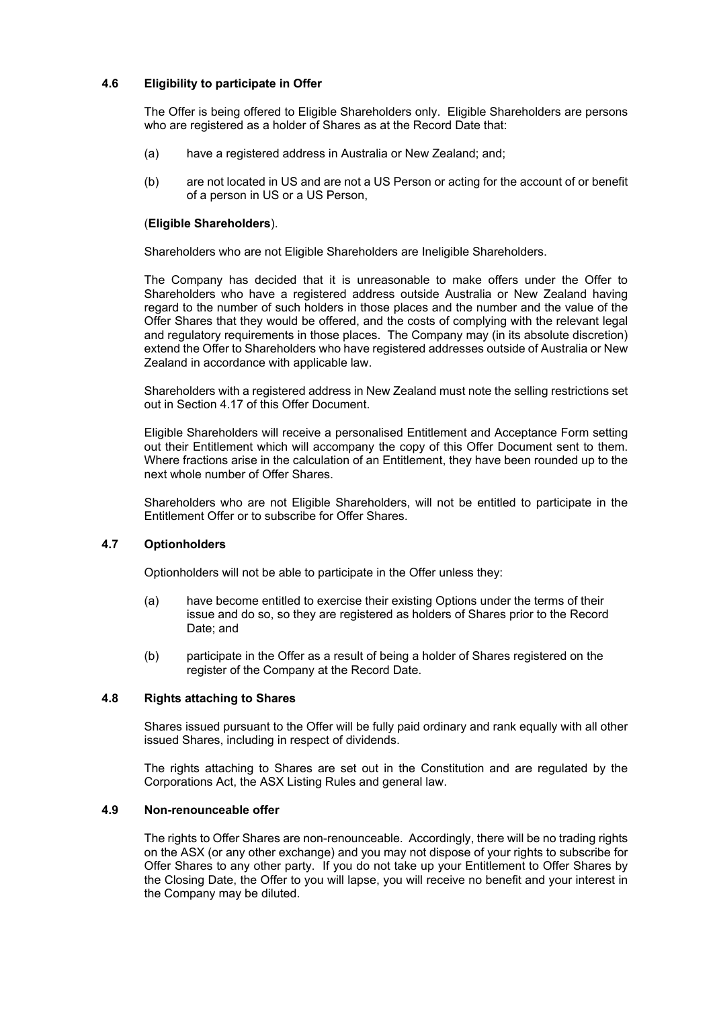# <span id="page-10-1"></span>**4.6 Eligibility to participate in Offer**

The Offer is being offered to Eligible Shareholders only. Eligible Shareholders are persons who are registered as a holder of Shares as at the Record Date that:

- (a) have a registered address in Australia or New Zealand; and;
- (b) are not located in US and are not a US Person or acting for the account of or benefit of a person in US or a US Person,

#### (**Eligible Shareholders**).

Shareholders who are not Eligible Shareholders are Ineligible Shareholders.

The Company has decided that it is unreasonable to make offers under the Offer to Shareholders who have a registered address outside Australia or New Zealand having regard to the number of such holders in those places and the number and the value of the Offer Shares that they would be offered, and the costs of complying with the relevant legal and regulatory requirements in those places. The Company may (in its absolute discretion) extend the Offer to Shareholders who have registered addresses outside of Australia or New Zealand in accordance with applicable law.

Shareholders with a registered address in New Zealand must note the selling restrictions set out in Section [4.17](#page-14-0) of this Offer Document.

Eligible Shareholders will receive a personalised Entitlement and Acceptance Form setting out their Entitlement which will accompany the copy of this Offer Document sent to them. Where fractions arise in the calculation of an Entitlement, they have been rounded up to the next whole number of Offer Shares.

Shareholders who are not Eligible Shareholders, will not be entitled to participate in the Entitlement Offer or to subscribe for Offer Shares.

#### **4.7 Optionholders**

Optionholders will not be able to participate in the Offer unless they:

- (a) have become entitled to exercise their existing Options under the terms of their issue and do so, so they are registered as holders of Shares prior to the Record Date; and
- (b) participate in the Offer as a result of being a holder of Shares registered on the register of the Company at the Record Date.

# <span id="page-10-0"></span>**4.8 Rights attaching to Shares**

Shares issued pursuant to the Offer will be fully paid ordinary and rank equally with all other issued Shares, including in respect of dividends.

The rights attaching to Shares are set out in the Constitution and are regulated by the Corporations Act, the ASX Listing Rules and general law.

#### **4.9 Non-renounceable offer**

The rights to Offer Shares are non-renounceable. Accordingly, there will be no trading rights on the ASX (or any other exchange) and you may not dispose of your rights to subscribe for Offer Shares to any other party. If you do not take up your Entitlement to Offer Shares by the Closing Date, the Offer to you will lapse, you will receive no benefit and your interest in the Company may be diluted.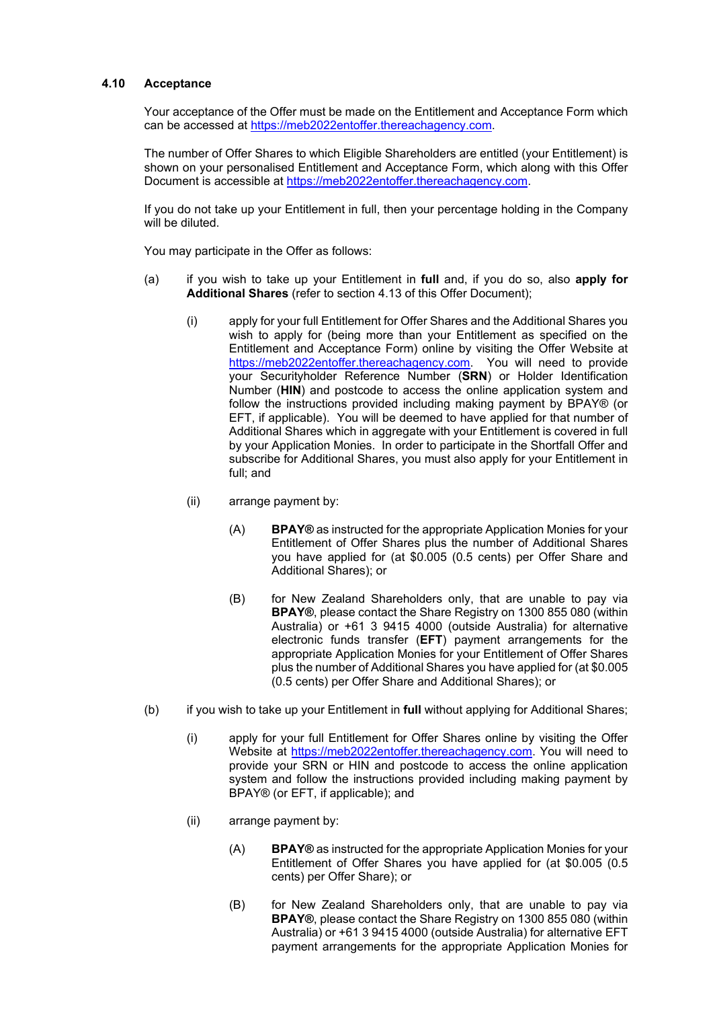#### **4.10 Acceptance**

Your acceptance of the Offer must be made on the Entitlement and Acceptance Form which can be accessed at [https://meb2022entoffer.thereachagency.com.](https://meb2022entoffer.thereachagency.com/)

The number of Offer Shares to which Eligible Shareholders are entitled (your Entitlement) is shown on your personalised Entitlement and Acceptance Form, which along with this Offer Document is accessible at [https://meb2022entoffer.thereachagency.com.](https://meb2022entoffer.thereachagency.com/)

If you do not take up your Entitlement in full, then your percentage holding in the Company will be diluted.

<span id="page-11-0"></span>You may participate in the Offer as follows:

- (a) if you wish to take up your Entitlement in **full** and, if you do so, also **apply for Additional Shares** (refer to section [4.13](#page-13-0) of this Offer Document);
	- (i) apply for your full Entitlement for Offer Shares and the Additional Shares you wish to apply for (being more than your Entitlement as specified on the Entitlement and Acceptance Form) online by visiting the Offer Website at [https://meb2022entoffer.thereachagency.com.](https://meb2022entoffer.thereachagency.com/) You will need to provide your Securityholder Reference Number (**SRN**) or Holder Identification Number (**HIN**) and postcode to access the online application system and follow the instructions provided including making payment by BPAY® (or EFT, if applicable). You will be deemed to have applied for that number of Additional Shares which in aggregate with your Entitlement is covered in full by your Application Monies. In order to participate in the Shortfall Offer and subscribe for Additional Shares, you must also apply for your Entitlement in full; and
	- (ii) arrange payment by:
		- (A) **BPAY®** as instructed for the appropriate Application Monies for your Entitlement of Offer Shares plus the number of Additional Shares you have applied for (at \$0.005 (0.5 cents) per Offer Share and Additional Shares); or
		- (B) for New Zealand Shareholders only, that are unable to pay via **BPAY®**, please contact the Share Registry on 1300 855 080 (within Australia) or +61 3 9415 4000 (outside Australia) for alternative electronic funds transfer (**EFT**) payment arrangements for the appropriate Application Monies for your Entitlement of Offer Shares plus the number of Additional Shares you have applied for (at \$0.005 (0.5 cents) per Offer Share and Additional Shares); or
- (b) if you wish to take up your Entitlement in **full** without applying for Additional Shares;
	- (i) apply for your full Entitlement for Offer Shares online by visiting the Offer Website at [https://meb2022entoffer.thereachagency.com.](https://meb2022entoffer.thereachagency.com/) You will need to provide your SRN or HIN and postcode to access the online application system and follow the instructions provided including making payment by BPAY® (or EFT, if applicable); and
	- (ii) arrange payment by:
		- (A) **BPAY®** as instructed for the appropriate Application Monies for your Entitlement of Offer Shares you have applied for (at \$0.005 (0.5 cents) per Offer Share); or
		- (B) for New Zealand Shareholders only, that are unable to pay via **BPAY®**, please contact the Share Registry on 1300 855 080 (within Australia) or +61 3 9415 4000 (outside Australia) for alternative EFT payment arrangements for the appropriate Application Monies for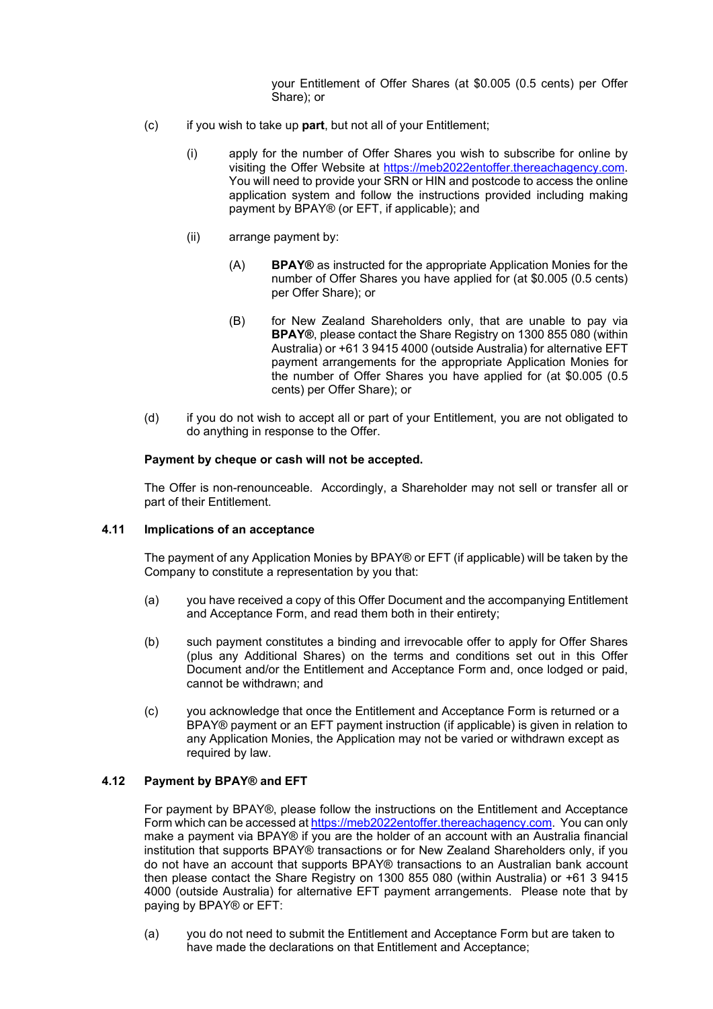your Entitlement of Offer Shares (at \$0.005 (0.5 cents) per Offer Share); or

- (c) if you wish to take up **part**, but not all of your Entitlement;
	- (i) apply for the number of Offer Shares you wish to subscribe for online by visiting the Offer Website at [https://meb2022entoffer.thereachagency.com.](https://meb2022entoffer.thereachagency.com/) You will need to provide your SRN or HIN and postcode to access the online application system and follow the instructions provided including making payment by BPAY® (or EFT, if applicable); and
	- (ii) arrange payment by:
		- (A) **BPAY®** as instructed for the appropriate Application Monies for the number of Offer Shares you have applied for (at \$0.005 (0.5 cents) per Offer Share); or
		- (B) for New Zealand Shareholders only, that are unable to pay via **BPAY®**, please contact the Share Registry on 1300 855 080 (within Australia) or +61 3 9415 4000 (outside Australia) for alternative EFT payment arrangements for the appropriate Application Monies for the number of Offer Shares you have applied for (at \$0.005 (0.5 cents) per Offer Share); or
- (d) if you do not wish to accept all or part of your Entitlement, you are not obligated to do anything in response to the Offer.

#### **Payment by cheque or cash will not be accepted.**

The Offer is non-renounceable. Accordingly, a Shareholder may not sell or transfer all or part of their Entitlement.

#### **4.11 Implications of an acceptance**

The payment of any Application Monies by BPAY® or EFT (if applicable) will be taken by the Company to constitute a representation by you that:

- (a) you have received a copy of this Offer Document and the accompanying Entitlement and Acceptance Form, and read them both in their entirety;
- (b) such payment constitutes a binding and irrevocable offer to apply for Offer Shares (plus any Additional Shares) on the terms and conditions set out in this Offer Document and/or the Entitlement and Acceptance Form and, once lodged or paid, cannot be withdrawn; and
- (c) you acknowledge that once the Entitlement and Acceptance Form is returned or a BPAY® payment or an EFT payment instruction (if applicable) is given in relation to any Application Monies, the Application may not be varied or withdrawn except as required by law.

# **4.12 Payment by BPAY® and EFT**

For payment by BPAY®, please follow the instructions on the Entitlement and Acceptance Form which can be accessed at [https://meb2022entoffer.thereachagency.com.](https://meb2022entoffer.thereachagency.com/) You can only make a payment via BPAY® if you are the holder of an account with an Australia financial institution that supports BPAY® transactions or for New Zealand Shareholders only, if you do not have an account that supports BPAY® transactions to an Australian bank account then please contact the Share Registry on 1300 855 080 (within Australia) or +61 3 9415 4000 (outside Australia) for alternative EFT payment arrangements. Please note that by paying by BPAY® or EFT:

(a) you do not need to submit the Entitlement and Acceptance Form but are taken to have made the declarations on that Entitlement and Acceptance;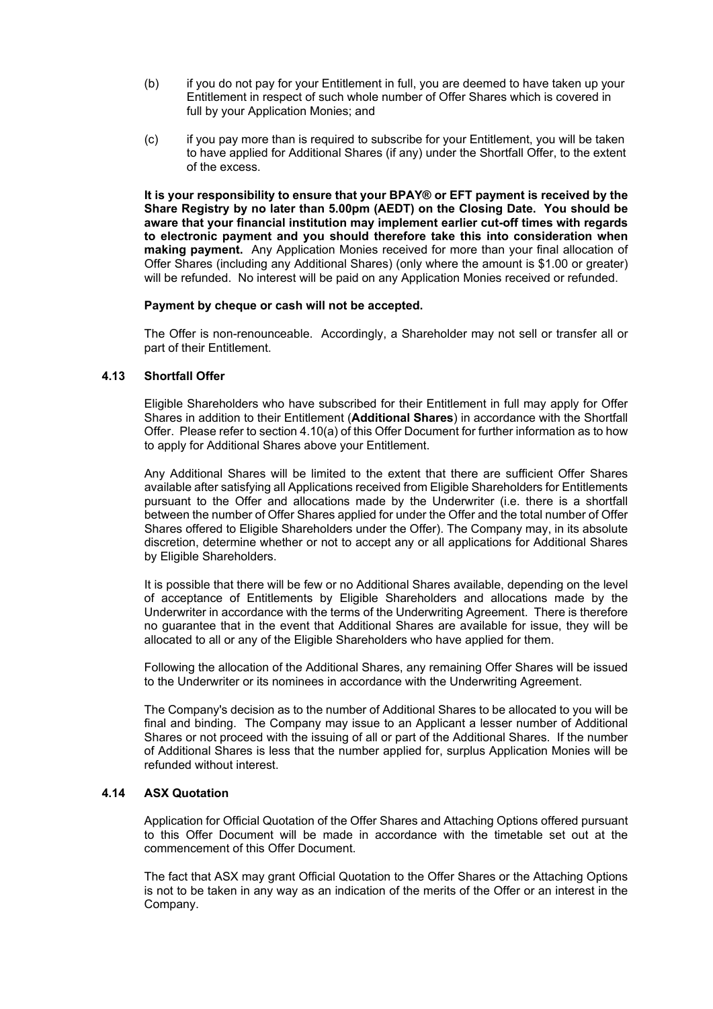- (b) if you do not pay for your Entitlement in full, you are deemed to have taken up your Entitlement in respect of such whole number of Offer Shares which is covered in full by your Application Monies; and
- (c) if you pay more than is required to subscribe for your Entitlement, you will be taken to have applied for Additional Shares (if any) under the Shortfall Offer, to the extent of the excess.

**It is your responsibility to ensure that your BPAY® or EFT payment is received by the Share Registry by no later than 5.00pm (AEDT) on the Closing Date. You should be aware that your financial institution may implement earlier cut-off times with regards to electronic payment and you should therefore take this into consideration when making payment.** Any Application Monies received for more than your final allocation of Offer Shares (including any Additional Shares) (only where the amount is \$1.00 or greater) will be refunded. No interest will be paid on any Application Monies received or refunded.

#### **Payment by cheque or cash will not be accepted.**

The Offer is non-renounceable. Accordingly, a Shareholder may not sell or transfer all or part of their Entitlement.

#### <span id="page-13-0"></span>**4.13 Shortfall Offer**

Eligible Shareholders who have subscribed for their Entitlement in full may apply for Offer Shares in addition to their Entitlement (**Additional Shares**) in accordance with the Shortfall Offer. Please refer to sectio[n 4.10\(a\)](#page-11-0) of this Offer Document for further information as to how to apply for Additional Shares above your Entitlement.

Any Additional Shares will be limited to the extent that there are sufficient Offer Shares available after satisfying all Applications received from Eligible Shareholders for Entitlements pursuant to the Offer and allocations made by the Underwriter (i.e. there is a shortfall between the number of Offer Shares applied for under the Offer and the total number of Offer Shares offered to Eligible Shareholders under the Offer). The Company may, in its absolute discretion, determine whether or not to accept any or all applications for Additional Shares by Eligible Shareholders.

It is possible that there will be few or no Additional Shares available, depending on the level of acceptance of Entitlements by Eligible Shareholders and allocations made by the Underwriter in accordance with the terms of the Underwriting Agreement. There is therefore no guarantee that in the event that Additional Shares are available for issue, they will be allocated to all or any of the Eligible Shareholders who have applied for them.

Following the allocation of the Additional Shares, any remaining Offer Shares will be issued to the Underwriter or its nominees in accordance with the Underwriting Agreement.

The Company's decision as to the number of Additional Shares to be allocated to you will be final and binding. The Company may issue to an Applicant a lesser number of Additional Shares or not proceed with the issuing of all or part of the Additional Shares. If the number of Additional Shares is less that the number applied for, surplus Application Monies will be refunded without interest.

# **4.14 ASX Quotation**

Application for Official Quotation of the Offer Shares and Attaching Options offered pursuant to this Offer Document will be made in accordance with the timetable set out at the commencement of this Offer Document.

The fact that ASX may grant Official Quotation to the Offer Shares or the Attaching Options is not to be taken in any way as an indication of the merits of the Offer or an interest in the Company.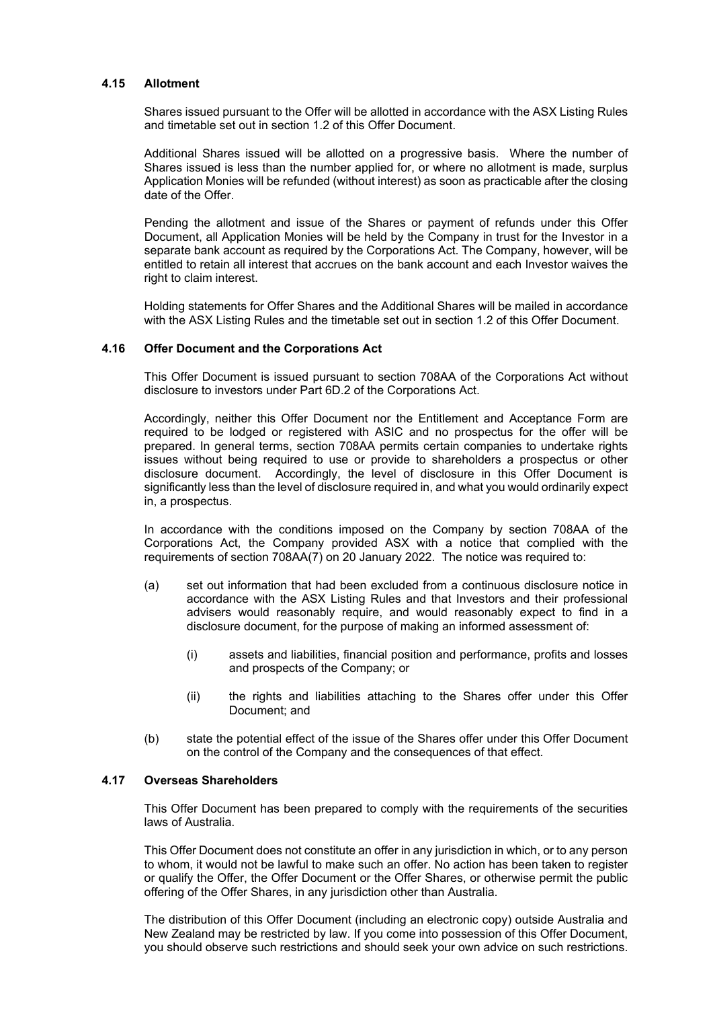#### **4.15 Allotment**

Shares issued pursuant to the Offer will be allotted in accordance with the ASX Listing Rules and timetable set out in section [1.2](#page-2-0) of this Offer Document.

Additional Shares issued will be allotted on a progressive basis. Where the number of Shares issued is less than the number applied for, or where no allotment is made, surplus Application Monies will be refunded (without interest) as soon as practicable after the closing date of the Offer.

Pending the allotment and issue of the Shares or payment of refunds under this Offer Document, all Application Monies will be held by the Company in trust for the Investor in a separate bank account as required by the Corporations Act. The Company, however, will be entitled to retain all interest that accrues on the bank account and each Investor waives the right to claim interest.

Holding statements for Offer Shares and the Additional Shares will be mailed in accordance with the ASX Listing Rules and the timetable set out in section [1.2](#page-2-0) of this Offer Document.

#### **4.16 Offer Document and the Corporations Act**

This Offer Document is issued pursuant to section 708AA of the Corporations Act without disclosure to investors under Part 6D.2 of the Corporations Act.

Accordingly, neither this Offer Document nor the Entitlement and Acceptance Form are required to be lodged or registered with ASIC and no prospectus for the offer will be prepared. In general terms, section 708AA permits certain companies to undertake rights issues without being required to use or provide to shareholders a prospectus or other disclosure document. Accordingly, the level of disclosure in this Offer Document is significantly less than the level of disclosure required in, and what you would ordinarily expect in, a prospectus.

In accordance with the conditions imposed on the Company by section 708AA of the Corporations Act, the Company provided ASX with a notice that complied with the requirements of section 708AA(7) on 20 January 2022. The notice was required to:

- (a) set out information that had been excluded from a continuous disclosure notice in accordance with the ASX Listing Rules and that Investors and their professional advisers would reasonably require, and would reasonably expect to find in a disclosure document, for the purpose of making an informed assessment of:
	- (i) assets and liabilities, financial position and performance, profits and losses and prospects of the Company; or
	- (ii) the rights and liabilities attaching to the Shares offer under this Offer Document; and
- (b) state the potential effect of the issue of the Shares offer under this Offer Document on the control of the Company and the consequences of that effect.

# <span id="page-14-0"></span>**4.17 Overseas Shareholders**

This Offer Document has been prepared to comply with the requirements of the securities laws of Australia.

This Offer Document does not constitute an offer in any jurisdiction in which, or to any person to whom, it would not be lawful to make such an offer. No action has been taken to register or qualify the Offer, the Offer Document or the Offer Shares, or otherwise permit the public offering of the Offer Shares, in any jurisdiction other than Australia.

The distribution of this Offer Document (including an electronic copy) outside Australia and New Zealand may be restricted by law. If you come into possession of this Offer Document, you should observe such restrictions and should seek your own advice on such restrictions.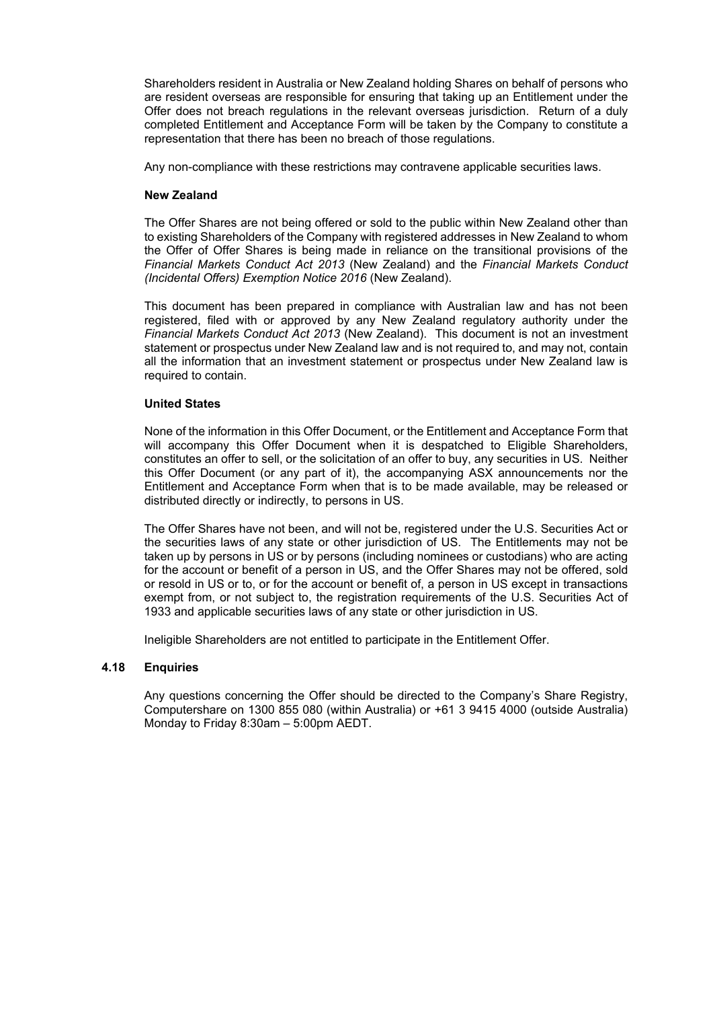Shareholders resident in Australia or New Zealand holding Shares on behalf of persons who are resident overseas are responsible for ensuring that taking up an Entitlement under the Offer does not breach regulations in the relevant overseas jurisdiction. Return of a duly completed Entitlement and Acceptance Form will be taken by the Company to constitute a representation that there has been no breach of those regulations.

Any non-compliance with these restrictions may contravene applicable securities laws.

#### **New Zealand**

The Offer Shares are not being offered or sold to the public within New Zealand other than to existing Shareholders of the Company with registered addresses in New Zealand to whom the Offer of Offer Shares is being made in reliance on the transitional provisions of the *Financial Markets Conduct Act 2013* (New Zealand) and the *Financial Markets Conduct (Incidental Offers) Exemption Notice 2016* (New Zealand).

This document has been prepared in compliance with Australian law and has not been registered, filed with or approved by any New Zealand regulatory authority under the *Financial Markets Conduct Act 2013* (New Zealand). This document is not an investment statement or prospectus under New Zealand law and is not required to, and may not, contain all the information that an investment statement or prospectus under New Zealand law is required to contain.

#### **United States**

None of the information in this Offer Document, or the Entitlement and Acceptance Form that will accompany this Offer Document when it is despatched to Eligible Shareholders, constitutes an offer to sell, or the solicitation of an offer to buy, any securities in US. Neither this Offer Document (or any part of it), the accompanying ASX announcements nor the Entitlement and Acceptance Form when that is to be made available, may be released or distributed directly or indirectly, to persons in US.

The Offer Shares have not been, and will not be, registered under the U.S. Securities Act or the securities laws of any state or other jurisdiction of US. The Entitlements may not be taken up by persons in US or by persons (including nominees or custodians) who are acting for the account or benefit of a person in US, and the Offer Shares may not be offered, sold or resold in US or to, or for the account or benefit of, a person in US except in transactions exempt from, or not subject to, the registration requirements of the U.S. Securities Act of 1933 and applicable securities laws of any state or other jurisdiction in US.

Ineligible Shareholders are not entitled to participate in the Entitlement Offer.

# **4.18 Enquiries**

Any questions concerning the Offer should be directed to the Company's Share Registry, Computershare on 1300 855 080 (within Australia) or +61 3 9415 4000 (outside Australia) Monday to Friday 8:30am – 5:00pm AEDT.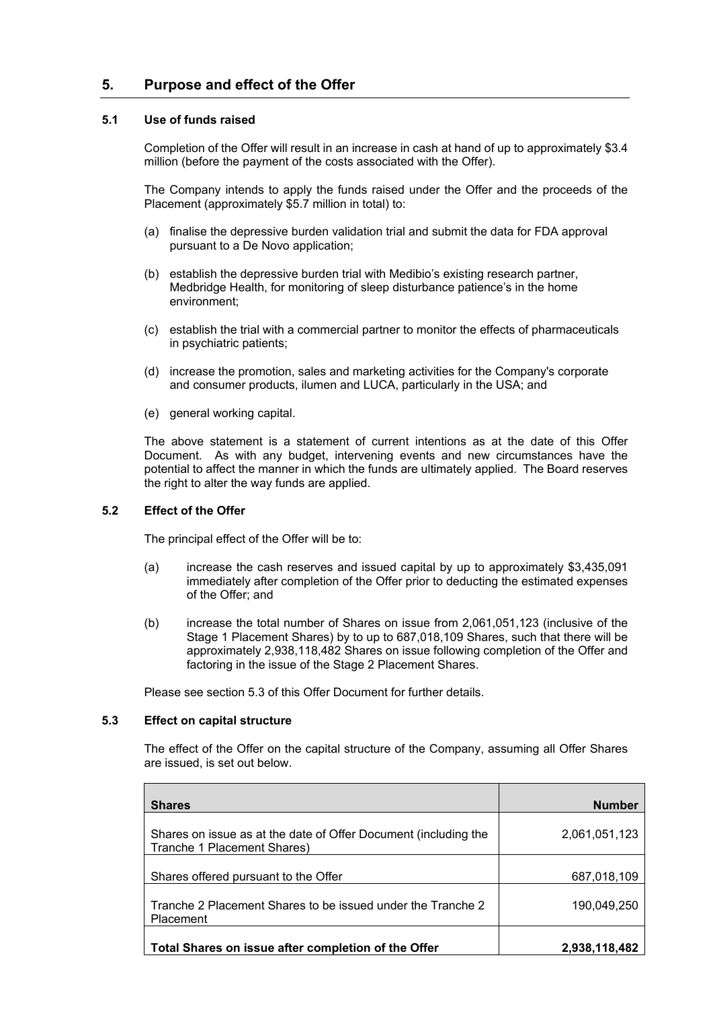# **5. Purpose and effect of the Offer**

# <span id="page-16-0"></span>**5.1 Use of funds raised**

Completion of the Offer will result in an increase in cash at hand of up to approximately \$3.4 million (before the payment of the costs associated with the Offer).

The Company intends to apply the funds raised under the Offer and the proceeds of the Placement (approximately \$5.7 million in total) to:

- (a) finalise the depressive burden validation trial and submit the data for FDA approval pursuant to a De Novo application;
- (b) establish the depressive burden trial with Medibio's existing research partner, Medbridge Health, for monitoring of sleep disturbance patience's in the home environment;
- (c) establish the trial with a commercial partner to monitor the effects of pharmaceuticals in psychiatric patients;
- (d) increase the promotion, sales and marketing activities for the Company's corporate and consumer products, ilumen and LUCA, particularly in the USA; and
- (e) general working capital.

The above statement is a statement of current intentions as at the date of this Offer Document. As with any budget, intervening events and new circumstances have the potential to affect the manner in which the funds are ultimately applied. The Board reserves the right to alter the way funds are applied.

# **5.2 Effect of the Offer**

The principal effect of the Offer will be to:

- (a) increase the cash reserves and issued capital by up to approximately \$3,435,091 immediately after completion of the Offer prior to deducting the estimated expenses of the Offer; and
- (b) increase the total number of Shares on issue from 2,061,051,123 (inclusive of the Stage 1 Placement Shares) by to up to 687,018,109 Shares, such that there will be approximately 2,938,118,482 Shares on issue following completion of the Offer and factoring in the issue of the Stage 2 Placement Shares.

Please see section [5.3](#page-16-1) of this Offer Document for further details.

#### <span id="page-16-1"></span>**5.3 Effect on capital structure**

The effect of the Offer on the capital structure of the Company, assuming all Offer Shares are issued, is set out below.

| <b>Shares</b>                                                                                  | <b>Number</b> |
|------------------------------------------------------------------------------------------------|---------------|
| Shares on issue as at the date of Offer Document (including the<br>Tranche 1 Placement Shares) | 2,061,051,123 |
| Shares offered pursuant to the Offer                                                           | 687,018,109   |
| Tranche 2 Placement Shares to be issued under the Tranche 2<br>Placement                       | 190,049,250   |
| Total Shares on issue after completion of the Offer                                            | 2,938,118,482 |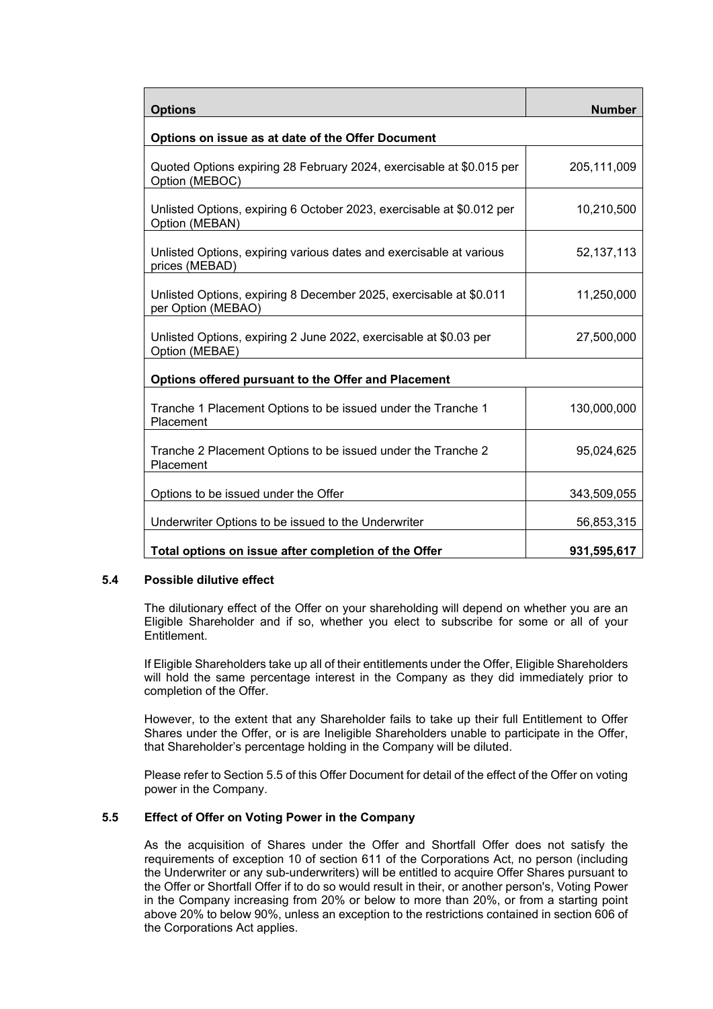| <b>Options</b>                                                                           | <b>Number</b> |
|------------------------------------------------------------------------------------------|---------------|
| Options on issue as at date of the Offer Document                                        |               |
| Quoted Options expiring 28 February 2024, exercisable at \$0.015 per<br>Option (MEBOC)   | 205,111,009   |
| Unlisted Options, expiring 6 October 2023, exercisable at \$0.012 per<br>Option (MEBAN)  | 10,210,500    |
| Unlisted Options, expiring various dates and exercisable at various<br>prices (MEBAD)    | 52, 137, 113  |
| Unlisted Options, expiring 8 December 2025, exercisable at \$0.011<br>per Option (MEBAO) | 11,250,000    |
| Unlisted Options, expiring 2 June 2022, exercisable at \$0.03 per<br>Option (MEBAE)      | 27,500,000    |
| Options offered pursuant to the Offer and Placement                                      |               |
| Tranche 1 Placement Options to be issued under the Tranche 1<br>Placement                | 130,000,000   |
| Tranche 2 Placement Options to be issued under the Tranche 2<br>Placement                | 95,024,625    |
| Options to be issued under the Offer                                                     | 343,509,055   |
| Underwriter Options to be issued to the Underwriter                                      | 56,853,315    |
| Total options on issue after completion of the Offer                                     | 931,595,617   |

#### **5.4 Possible dilutive effect**

The dilutionary effect of the Offer on your shareholding will depend on whether you are an Eligible Shareholder and if so, whether you elect to subscribe for some or all of your Entitlement.

If Eligible Shareholders take up all of their entitlements under the Offer, Eligible Shareholders will hold the same percentage interest in the Company as they did immediately prior to completion of the Offer.

However, to the extent that any Shareholder fails to take up their full Entitlement to Offer Shares under the Offer, or is are Ineligible Shareholders unable to participate in the Offer, that Shareholder's percentage holding in the Company will be diluted.

Please refer to Sectio[n 5.5](#page-17-0) of this Offer Document for detail of the effect of the Offer on voting power in the Company.

# <span id="page-17-0"></span>**5.5 Effect of Offer on Voting Power in the Company**

As the acquisition of Shares under the Offer and Shortfall Offer does not satisfy the requirements of exception 10 of section 611 of the Corporations Act, no person (including the Underwriter or any sub-underwriters) will be entitled to acquire Offer Shares pursuant to the Offer or Shortfall Offer if to do so would result in their, or another person's, Voting Power in the Company increasing from 20% or below to more than 20%, or from a starting point above 20% to below 90%, unless an exception to the restrictions contained in section 606 of the Corporations Act applies.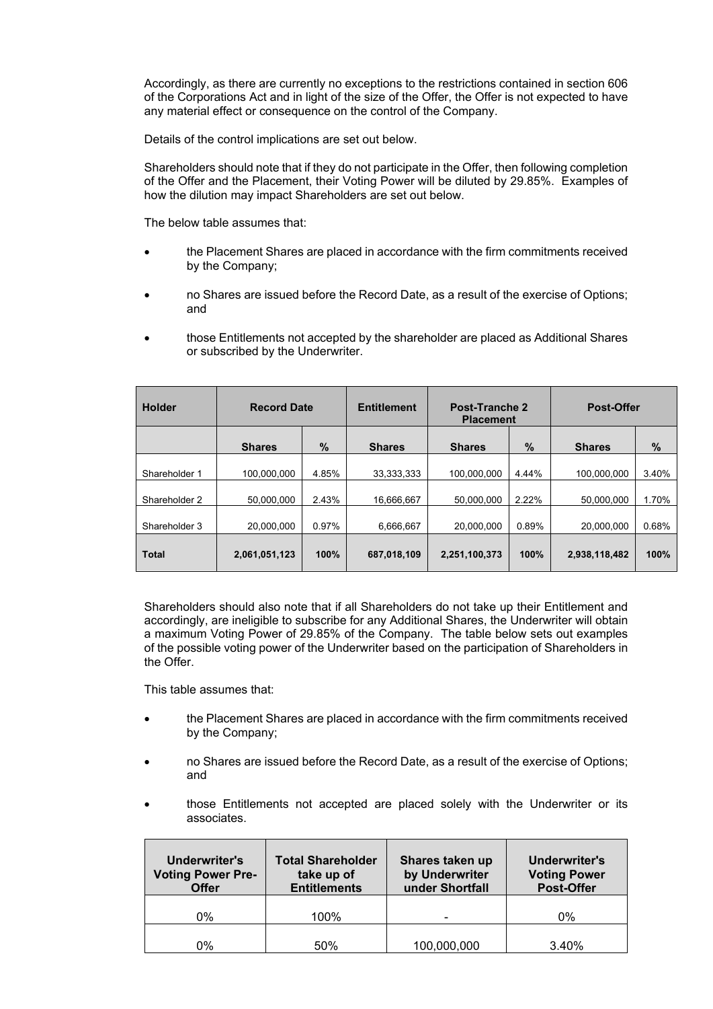Accordingly, as there are currently no exceptions to the restrictions contained in section 606 of the Corporations Act and in light of the size of the Offer, the Offer is not expected to have any material effect or consequence on the control of the Company.

Details of the control implications are set out below.

Shareholders should note that if they do not participate in the Offer, then following completion of the Offer and the Placement, their Voting Power will be diluted by 29.85%. Examples of how the dilution may impact Shareholders are set out below.

The below table assumes that:

- the Placement Shares are placed in accordance with the firm commitments received by the Company;
- no Shares are issued before the Record Date, as a result of the exercise of Options; and
- those Entitlements not accepted by the shareholder are placed as Additional Shares or subscribed by the Underwriter.

| <b>Holder</b> | <b>Record Date</b> |       | <b>Entitlement</b> | <b>Post-Tranche 2</b><br><b>Placement</b> |       | Post-Offer    |       |
|---------------|--------------------|-------|--------------------|-------------------------------------------|-------|---------------|-------|
|               | <b>Shares</b>      | %     | <b>Shares</b>      | <b>Shares</b>                             | $\%$  | <b>Shares</b> | $\%$  |
| Shareholder 1 | 100.000.000        | 4.85% | 33.333.333         | 100.000.000                               | 4.44% | 100.000.000   | 3.40% |
| Shareholder 2 | 50.000.000         | 2.43% | 16.666.667         | 50.000.000                                | 2.22% | 50.000.000    | 1.70% |
| Shareholder 3 | 20,000,000         | 0.97% | 6,666,667          | 20,000,000                                | 0.89% | 20,000,000    | 0.68% |
| <b>Total</b>  | 2,061,051,123      | 100%  | 687,018,109        | 2,251,100,373                             | 100%  | 2,938,118,482 | 100%  |
|               |                    |       |                    |                                           |       |               |       |

Shareholders should also note that if all Shareholders do not take up their Entitlement and accordingly, are ineligible to subscribe for any Additional Shares, the Underwriter will obtain a maximum Voting Power of 29.85% of the Company. The table below sets out examples of the possible voting power of the Underwriter based on the participation of Shareholders in the Offer.

This table assumes that:

- the Placement Shares are placed in accordance with the firm commitments received by the Company;
- no Shares are issued before the Record Date, as a result of the exercise of Options; and
- those Entitlements not accepted are placed solely with the Underwriter or its associates.

| Underwriter's<br><b>Voting Power Pre-</b><br><b>Offer</b> | <b>Total Shareholder</b><br>take up of<br><b>Entitlements</b> | Shares taken up<br>by Underwriter<br>under Shortfall | Underwriter's<br><b>Voting Power</b><br><b>Post-Offer</b> |
|-----------------------------------------------------------|---------------------------------------------------------------|------------------------------------------------------|-----------------------------------------------------------|
| 0%                                                        | 100%                                                          |                                                      | 0%                                                        |
| 0%                                                        | 50%                                                           | 100,000,000                                          | 3.40%                                                     |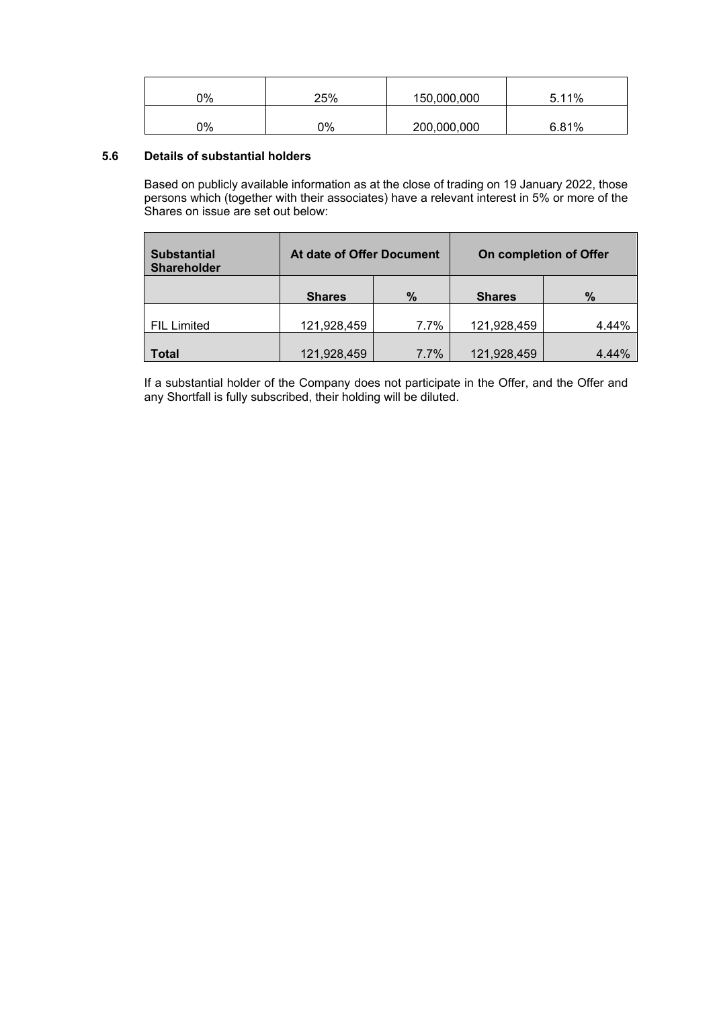| 0% | 25% | 150,000,000 | 5.11% |
|----|-----|-------------|-------|
| 0% | 0%  | 200,000,000 | 6.81% |

# **5.6 Details of substantial holders**

Based on publicly available information as at the close of trading on 19 January 2022, those persons which (together with their associates) have a relevant interest in 5% or more of the Shares on issue are set out below:

| <b>Substantial</b><br><b>Shareholder</b> | At date of Offer Document |      |               | On completion of Offer |
|------------------------------------------|---------------------------|------|---------------|------------------------|
|                                          | $\%$<br><b>Shares</b>     |      | <b>Shares</b> | $\%$                   |
| <b>FIL Limited</b>                       | 121,928,459               | 7.7% | 121,928,459   | 4.44%                  |
| Total                                    | 121,928,459               | 7.7% | 121,928,459   | 4.44%                  |

If a substantial holder of the Company does not participate in the Offer, and the Offer and any Shortfall is fully subscribed, their holding will be diluted.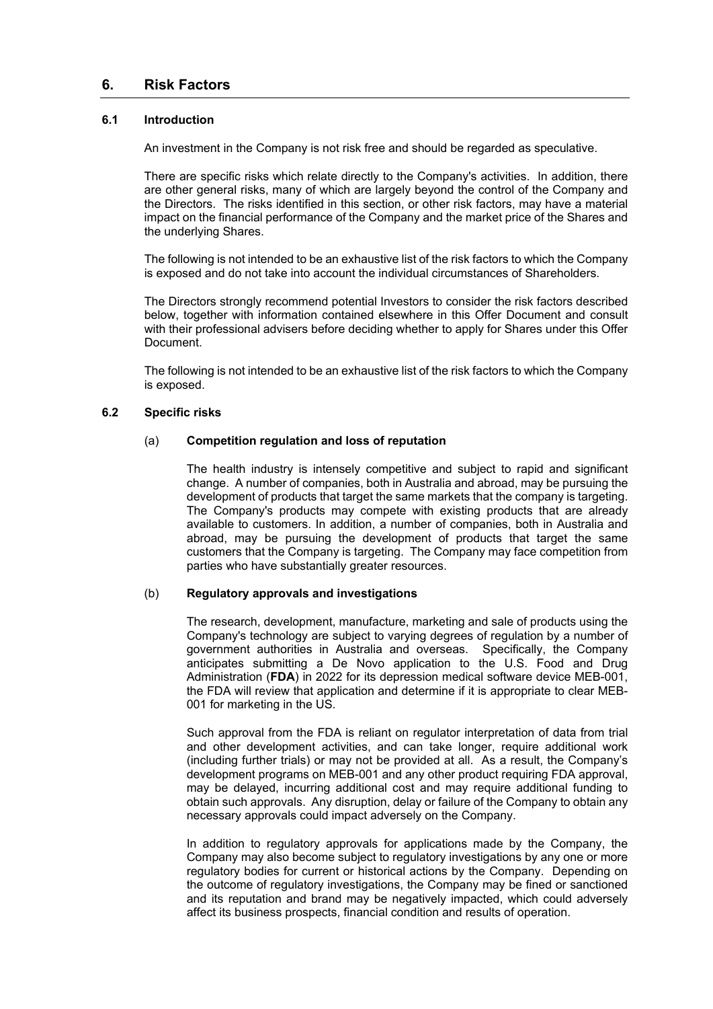# <span id="page-20-0"></span>**6. Risk Factors**

# **6.1 Introduction**

An investment in the Company is not risk free and should be regarded as speculative.

There are specific risks which relate directly to the Company's activities. In addition, there are other general risks, many of which are largely beyond the control of the Company and the Directors. The risks identified in this section, or other risk factors, may have a material impact on the financial performance of the Company and the market price of the Shares and the underlying Shares.

The following is not intended to be an exhaustive list of the risk factors to which the Company is exposed and do not take into account the individual circumstances of Shareholders.

The Directors strongly recommend potential Investors to consider the risk factors described below, together with information contained elsewhere in this Offer Document and consult with their professional advisers before deciding whether to apply for Shares under this Offer Document.

The following is not intended to be an exhaustive list of the risk factors to which the Company is exposed.

#### **6.2 Specific risks**

#### (a) **Competition regulation and loss of reputation**

The health industry is intensely competitive and subject to rapid and significant change. A number of companies, both in Australia and abroad, may be pursuing the development of products that target the same markets that the company is targeting. The Company's products may compete with existing products that are already available to customers. In addition, a number of companies, both in Australia and abroad, may be pursuing the development of products that target the same customers that the Company is targeting. The Company may face competition from parties who have substantially greater resources.

#### (b) **Regulatory approvals and investigations**

The research, development, manufacture, marketing and sale of products using the Company's technology are subject to varying degrees of regulation by a number of government authorities in Australia and overseas. Specifically, the Company anticipates submitting a De Novo application to the U.S. Food and Drug Administration (**FDA**) in 2022 for its depression medical software device MEB-001, the FDA will review that application and determine if it is appropriate to clear MEB-001 for marketing in the US.

Such approval from the FDA is reliant on regulator interpretation of data from trial and other development activities, and can take longer, require additional work (including further trials) or may not be provided at all. As a result, the Company's development programs on MEB-001 and any other product requiring FDA approval, may be delayed, incurring additional cost and may require additional funding to obtain such approvals. Any disruption, delay or failure of the Company to obtain any necessary approvals could impact adversely on the Company.

In addition to regulatory approvals for applications made by the Company, the Company may also become subject to regulatory investigations by any one or more regulatory bodies for current or historical actions by the Company. Depending on the outcome of regulatory investigations, the Company may be fined or sanctioned and its reputation and brand may be negatively impacted, which could adversely affect its business prospects, financial condition and results of operation.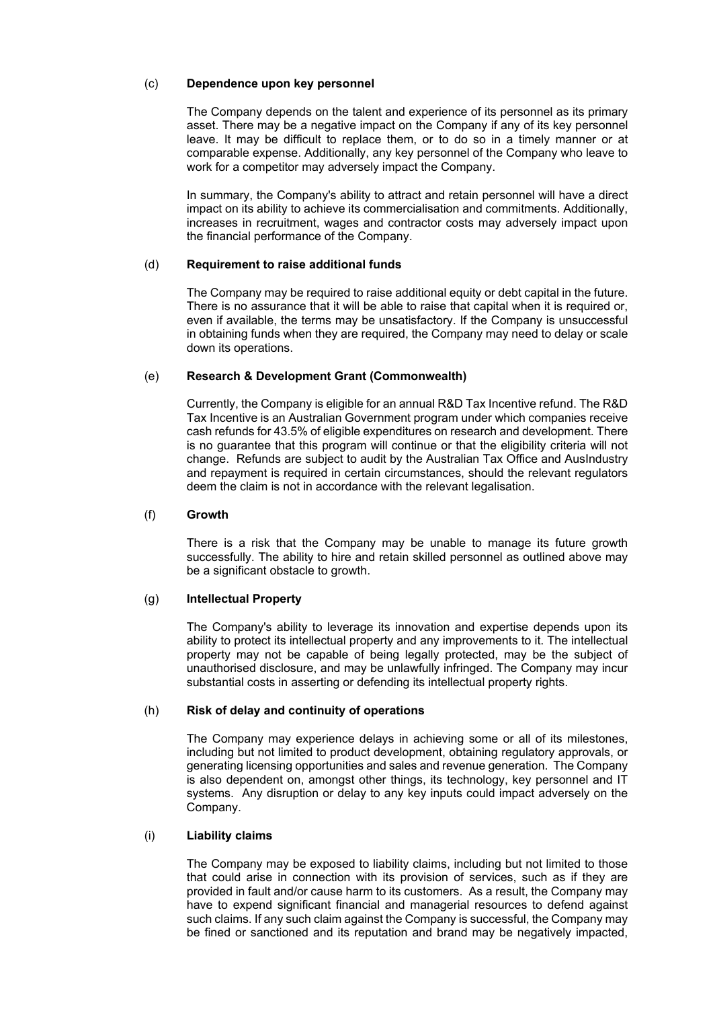# (c) **Dependence upon key personnel**

The Company depends on the talent and experience of its personnel as its primary asset. There may be a negative impact on the Company if any of its key personnel leave. It may be difficult to replace them, or to do so in a timely manner or at comparable expense. Additionally, any key personnel of the Company who leave to work for a competitor may adversely impact the Company.

In summary, the Company's ability to attract and retain personnel will have a direct impact on its ability to achieve its commercialisation and commitments. Additionally, increases in recruitment, wages and contractor costs may adversely impact upon the financial performance of the Company.

#### (d) **Requirement to raise additional funds**

The Company may be required to raise additional equity or debt capital in the future. There is no assurance that it will be able to raise that capital when it is required or, even if available, the terms may be unsatisfactory. If the Company is unsuccessful in obtaining funds when they are required, the Company may need to delay or scale down its operations.

#### (e) **Research & Development Grant (Commonwealth)**

Currently, the Company is eligible for an annual R&D Tax Incentive refund. The R&D Tax Incentive is an Australian Government program under which companies receive cash refunds for 43.5% of eligible expenditures on research and development. There is no guarantee that this program will continue or that the eligibility criteria will not change. Refunds are subject to audit by the Australian Tax Office and AusIndustry and repayment is required in certain circumstances, should the relevant regulators deem the claim is not in accordance with the relevant legalisation.

#### (f) **Growth**

There is a risk that the Company may be unable to manage its future growth successfully. The ability to hire and retain skilled personnel as outlined above may be a significant obstacle to growth.

#### (g) **Intellectual Property**

The Company's ability to leverage its innovation and expertise depends upon its ability to protect its intellectual property and any improvements to it. The intellectual property may not be capable of being legally protected, may be the subject of unauthorised disclosure, and may be unlawfully infringed. The Company may incur substantial costs in asserting or defending its intellectual property rights.

#### (h) **Risk of delay and continuity of operations**

The Company may experience delays in achieving some or all of its milestones, including but not limited to product development, obtaining regulatory approvals, or generating licensing opportunities and sales and revenue generation. The Company is also dependent on, amongst other things, its technology, key personnel and IT systems. Any disruption or delay to any key inputs could impact adversely on the Company.

#### (i) **Liability claims**

The Company may be exposed to liability claims, including but not limited to those that could arise in connection with its provision of services, such as if they are provided in fault and/or cause harm to its customers. As a result, the Company may have to expend significant financial and managerial resources to defend against such claims. If any such claim against the Company is successful, the Company may be fined or sanctioned and its reputation and brand may be negatively impacted,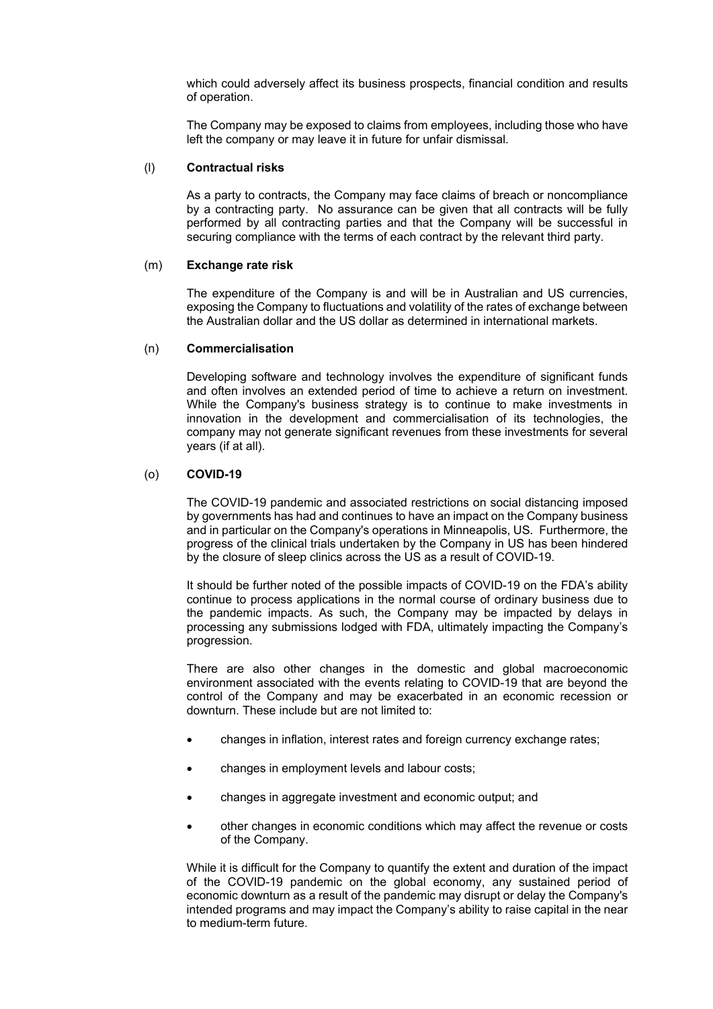which could adversely affect its business prospects, financial condition and results of operation.

The Company may be exposed to claims from employees, including those who have left the company or may leave it in future for unfair dismissal.

#### (l) **Contractual risks**

As a party to contracts, the Company may face claims of breach or noncompliance by a contracting party. No assurance can be given that all contracts will be fully performed by all contracting parties and that the Company will be successful in securing compliance with the terms of each contract by the relevant third party.

#### (m) **Exchange rate risk**

The expenditure of the Company is and will be in Australian and US currencies, exposing the Company to fluctuations and volatility of the rates of exchange between the Australian dollar and the US dollar as determined in international markets.

#### (n) **Commercialisation**

Developing software and technology involves the expenditure of significant funds and often involves an extended period of time to achieve a return on investment. While the Company's business strategy is to continue to make investments in innovation in the development and commercialisation of its technologies, the company may not generate significant revenues from these investments for several years (if at all).

# (o) **COVID-19**

The COVID-19 pandemic and associated restrictions on social distancing imposed by governments has had and continues to have an impact on the Company business and in particular on the Company's operations in Minneapolis, US. Furthermore, the progress of the clinical trials undertaken by the Company in US has been hindered by the closure of sleep clinics across the US as a result of COVID-19.

It should be further noted of the possible impacts of COVID-19 on the FDA's ability continue to process applications in the normal course of ordinary business due to the pandemic impacts. As such, the Company may be impacted by delays in processing any submissions lodged with FDA, ultimately impacting the Company's progression.

There are also other changes in the domestic and global macroeconomic environment associated with the events relating to COVID-19 that are beyond the control of the Company and may be exacerbated in an economic recession or downturn. These include but are not limited to:

- changes in inflation, interest rates and foreign currency exchange rates;
- changes in employment levels and labour costs;
- changes in aggregate investment and economic output; and
- other changes in economic conditions which may affect the revenue or costs of the Company.

While it is difficult for the Company to quantify the extent and duration of the impact of the COVID-19 pandemic on the global economy, any sustained period of economic downturn as a result of the pandemic may disrupt or delay the Company's intended programs and may impact the Company's ability to raise capital in the near to medium-term future.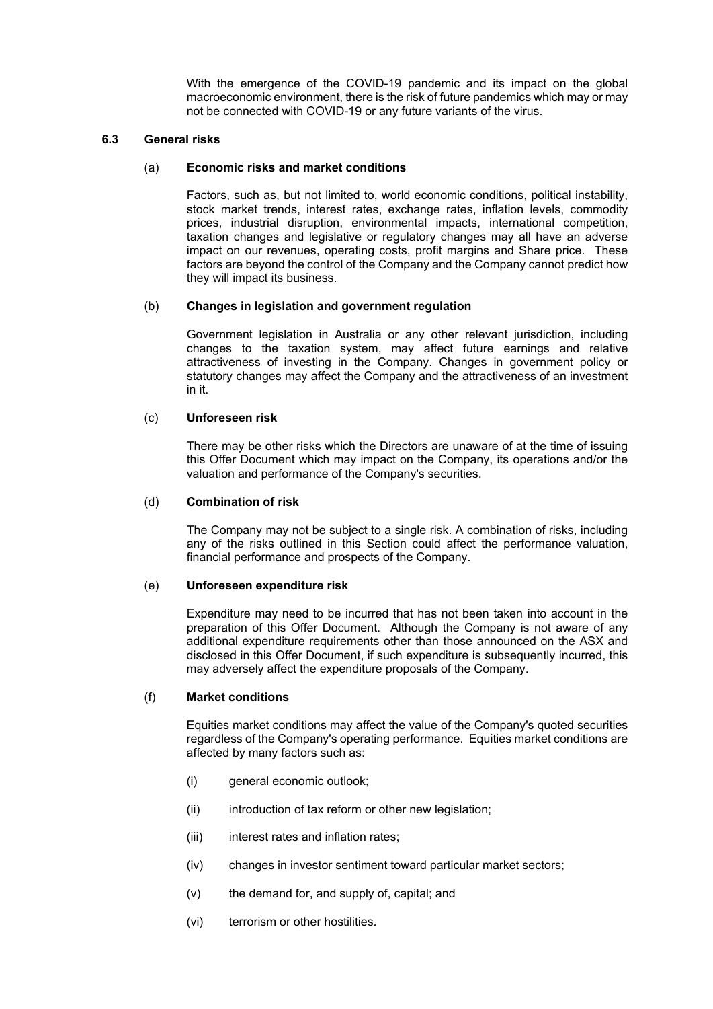With the emergence of the COVID-19 pandemic and its impact on the global macroeconomic environment, there is the risk of future pandemics which may or may not be connected with COVID-19 or any future variants of the virus.

#### **6.3 General risks**

#### (a) **Economic risks and market conditions**

Factors, such as, but not limited to, world economic conditions, political instability, stock market trends, interest rates, exchange rates, inflation levels, commodity prices, industrial disruption, environmental impacts, international competition, taxation changes and legislative or regulatory changes may all have an adverse impact on our revenues, operating costs, profit margins and Share price. These factors are beyond the control of the Company and the Company cannot predict how they will impact its business.

#### (b) **Changes in legislation and government regulation**

Government legislation in Australia or any other relevant jurisdiction, including changes to the taxation system, may affect future earnings and relative attractiveness of investing in the Company. Changes in government policy or statutory changes may affect the Company and the attractiveness of an investment in it.

# (c) **Unforeseen risk**

There may be other risks which the Directors are unaware of at the time of issuing this Offer Document which may impact on the Company, its operations and/or the valuation and performance of the Company's securities.

#### (d) **Combination of risk**

The Company may not be subject to a single risk. A combination of risks, including any of the risks outlined in this Section could affect the performance valuation, financial performance and prospects of the Company.

#### (e) **Unforeseen expenditure risk**

Expenditure may need to be incurred that has not been taken into account in the preparation of this Offer Document. Although the Company is not aware of any additional expenditure requirements other than those announced on the ASX and disclosed in this Offer Document, if such expenditure is subsequently incurred, this may adversely affect the expenditure proposals of the Company.

#### (f) **Market conditions**

Equities market conditions may affect the value of the Company's quoted securities regardless of the Company's operating performance. Equities market conditions are affected by many factors such as:

- (i) general economic outlook;
- (ii) introduction of tax reform or other new legislation;
- (iii) interest rates and inflation rates;
- (iv) changes in investor sentiment toward particular market sectors;
- (v) the demand for, and supply of, capital; and
- (vi) terrorism or other hostilities.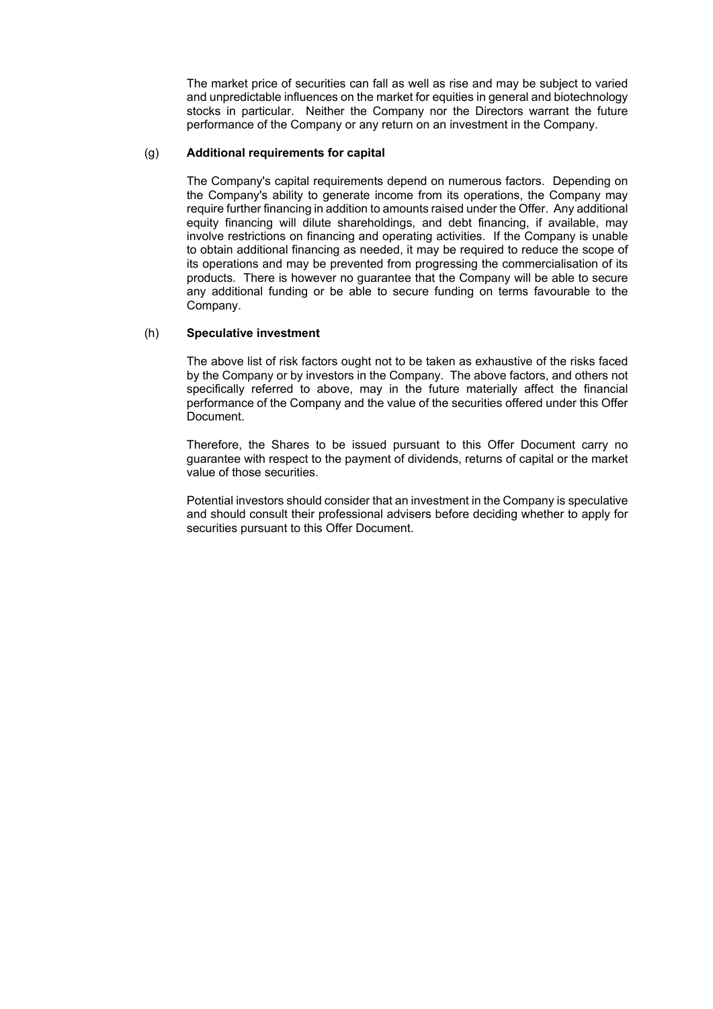The market price of securities can fall as well as rise and may be subject to varied and unpredictable influences on the market for equities in general and biotechnology stocks in particular. Neither the Company nor the Directors warrant the future performance of the Company or any return on an investment in the Company.

#### (g) **Additional requirements for capital**

The Company's capital requirements depend on numerous factors. Depending on the Company's ability to generate income from its operations, the Company may require further financing in addition to amounts raised under the Offer. Any additional equity financing will dilute shareholdings, and debt financing, if available, may involve restrictions on financing and operating activities. If the Company is unable to obtain additional financing as needed, it may be required to reduce the scope of its operations and may be prevented from progressing the commercialisation of its products. There is however no guarantee that the Company will be able to secure any additional funding or be able to secure funding on terms favourable to the Company.

#### (h) **Speculative investment**

The above list of risk factors ought not to be taken as exhaustive of the risks faced by the Company or by investors in the Company. The above factors, and others not specifically referred to above, may in the future materially affect the financial performance of the Company and the value of the securities offered under this Offer Document.

Therefore, the Shares to be issued pursuant to this Offer Document carry no guarantee with respect to the payment of dividends, returns of capital or the market value of those securities.

Potential investors should consider that an investment in the Company is speculative and should consult their professional advisers before deciding whether to apply for securities pursuant to this Offer Document.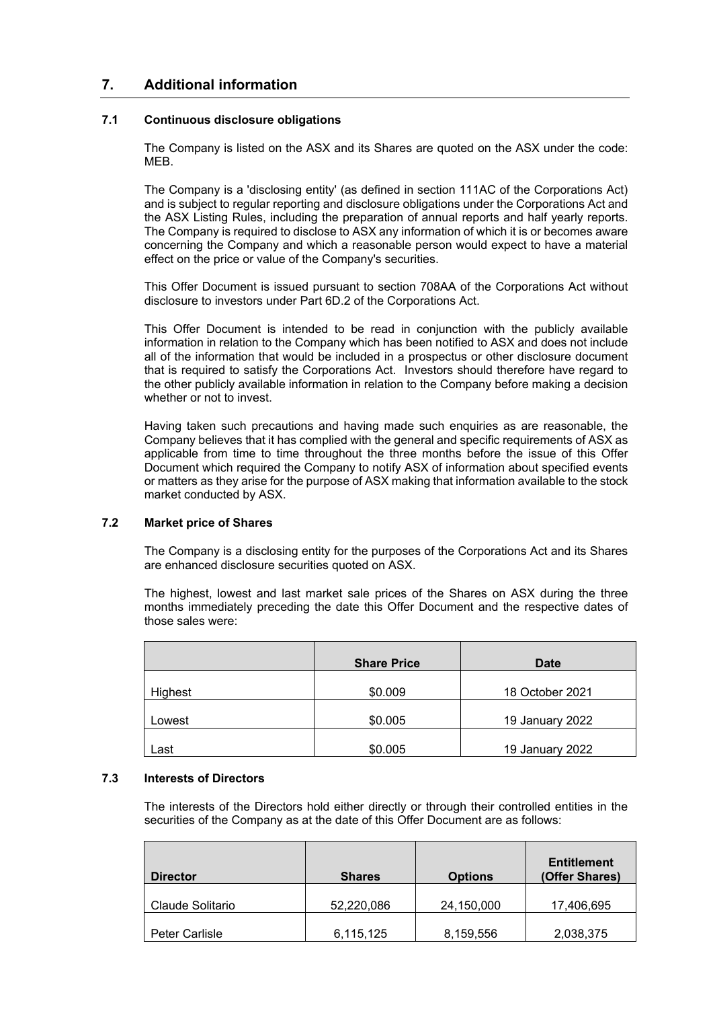# **7. Additional information**

# **7.1 Continuous disclosure obligations**

The Company is listed on the ASX and its Shares are quoted on the ASX under the code: MEB.

The Company is a 'disclosing entity' (as defined in section 111AC of the Corporations Act) and is subject to regular reporting and disclosure obligations under the Corporations Act and the ASX Listing Rules, including the preparation of annual reports and half yearly reports. The Company is required to disclose to ASX any information of which it is or becomes aware concerning the Company and which a reasonable person would expect to have a material effect on the price or value of the Company's securities.

This Offer Document is issued pursuant to section 708AA of the Corporations Act without disclosure to investors under Part 6D.2 of the Corporations Act.

This Offer Document is intended to be read in conjunction with the publicly available information in relation to the Company which has been notified to ASX and does not include all of the information that would be included in a prospectus or other disclosure document that is required to satisfy the Corporations Act. Investors should therefore have regard to the other publicly available information in relation to the Company before making a decision whether or not to invest.

Having taken such precautions and having made such enquiries as are reasonable, the Company believes that it has complied with the general and specific requirements of ASX as applicable from time to time throughout the three months before the issue of this Offer Document which required the Company to notify ASX of information about specified events or matters as they arise for the purpose of ASX making that information available to the stock market conducted by ASX.

# **7.2 Market price of Shares**

The Company is a disclosing entity for the purposes of the Corporations Act and its Shares are enhanced disclosure securities quoted on ASX.

The highest, lowest and last market sale prices of the Shares on ASX during the three months immediately preceding the date this Offer Document and the respective dates of those sales were:

|         | <b>Share Price</b> | <b>Date</b>     |
|---------|--------------------|-----------------|
| Highest | \$0.009            | 18 October 2021 |
| Lowest  | \$0.005            | 19 January 2022 |
| Last    | \$0.005            | 19 January 2022 |

#### **7.3 Interests of Directors**

The interests of the Directors hold either directly or through their controlled entities in the securities of the Company as at the date of this Offer Document are as follows:

| <b>Director</b>  | <b>Shares</b> | <b>Options</b> | <b>Entitlement</b><br>(Offer Shares) |
|------------------|---------------|----------------|--------------------------------------|
| Claude Solitario | 52,220,086    | 24,150,000     | 17,406,695                           |
| Peter Carlisle   | 6,115,125     | 8,159,556      | 2,038,375                            |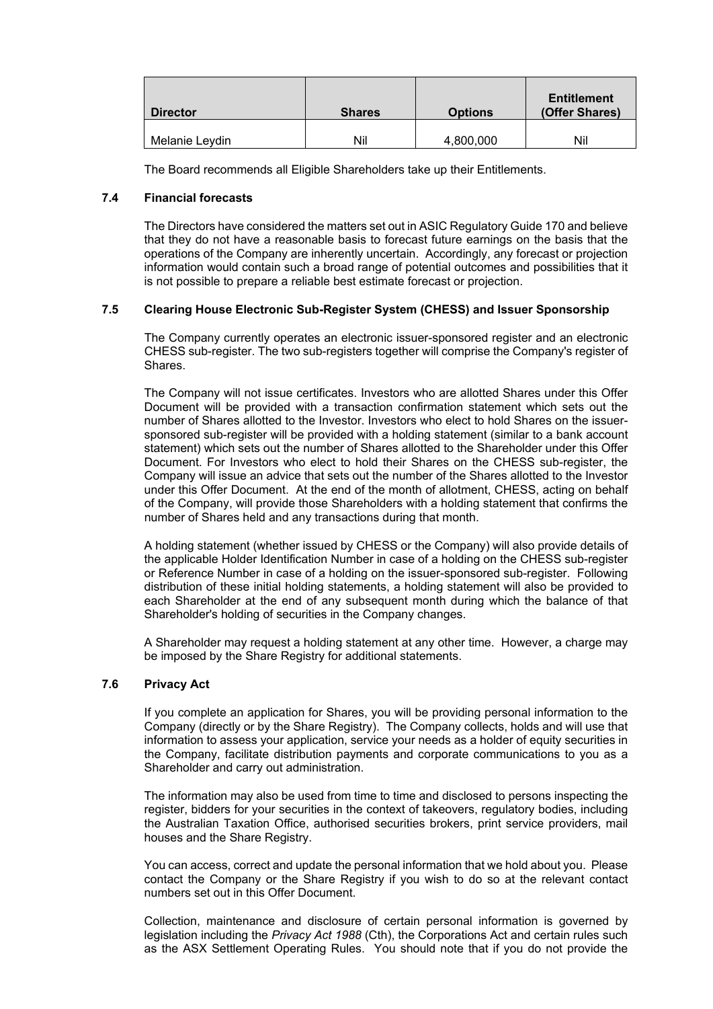| <b>Director</b> | <b>Shares</b> | <b>Options</b> | <b>Entitlement</b><br>(Offer Shares) |
|-----------------|---------------|----------------|--------------------------------------|
| Melanie Levdin  | Nil           | 4,800,000      | Nil                                  |

The Board recommends all Eligible Shareholders take up their Entitlements.

# **7.4 Financial forecasts**

The Directors have considered the matters set out in ASIC Regulatory Guide 170 and believe that they do not have a reasonable basis to forecast future earnings on the basis that the operations of the Company are inherently uncertain. Accordingly, any forecast or projection information would contain such a broad range of potential outcomes and possibilities that it is not possible to prepare a reliable best estimate forecast or projection.

# **7.5 Clearing House Electronic Sub-Register System (CHESS) and Issuer Sponsorship**

The Company currently operates an electronic issuer-sponsored register and an electronic CHESS sub-register. The two sub-registers together will comprise the Company's register of Shares.

The Company will not issue certificates. Investors who are allotted Shares under this Offer Document will be provided with a transaction confirmation statement which sets out the number of Shares allotted to the Investor. Investors who elect to hold Shares on the issuersponsored sub-register will be provided with a holding statement (similar to a bank account statement) which sets out the number of Shares allotted to the Shareholder under this Offer Document. For Investors who elect to hold their Shares on the CHESS sub-register, the Company will issue an advice that sets out the number of the Shares allotted to the Investor under this Offer Document. At the end of the month of allotment, CHESS, acting on behalf of the Company, will provide those Shareholders with a holding statement that confirms the number of Shares held and any transactions during that month.

A holding statement (whether issued by CHESS or the Company) will also provide details of the applicable Holder Identification Number in case of a holding on the CHESS sub-register or Reference Number in case of a holding on the issuer-sponsored sub-register. Following distribution of these initial holding statements, a holding statement will also be provided to each Shareholder at the end of any subsequent month during which the balance of that Shareholder's holding of securities in the Company changes.

A Shareholder may request a holding statement at any other time. However, a charge may be imposed by the Share Registry for additional statements.

#### **7.6 Privacy Act**

If you complete an application for Shares, you will be providing personal information to the Company (directly or by the Share Registry). The Company collects, holds and will use that information to assess your application, service your needs as a holder of equity securities in the Company, facilitate distribution payments and corporate communications to you as a Shareholder and carry out administration.

The information may also be used from time to time and disclosed to persons inspecting the register, bidders for your securities in the context of takeovers, regulatory bodies, including the Australian Taxation Office, authorised securities brokers, print service providers, mail houses and the Share Registry.

You can access, correct and update the personal information that we hold about you. Please contact the Company or the Share Registry if you wish to do so at the relevant contact numbers set out in this Offer Document.

Collection, maintenance and disclosure of certain personal information is governed by legislation including the *Privacy Act 1988* (Cth), the Corporations Act and certain rules such as the ASX Settlement Operating Rules. You should note that if you do not provide the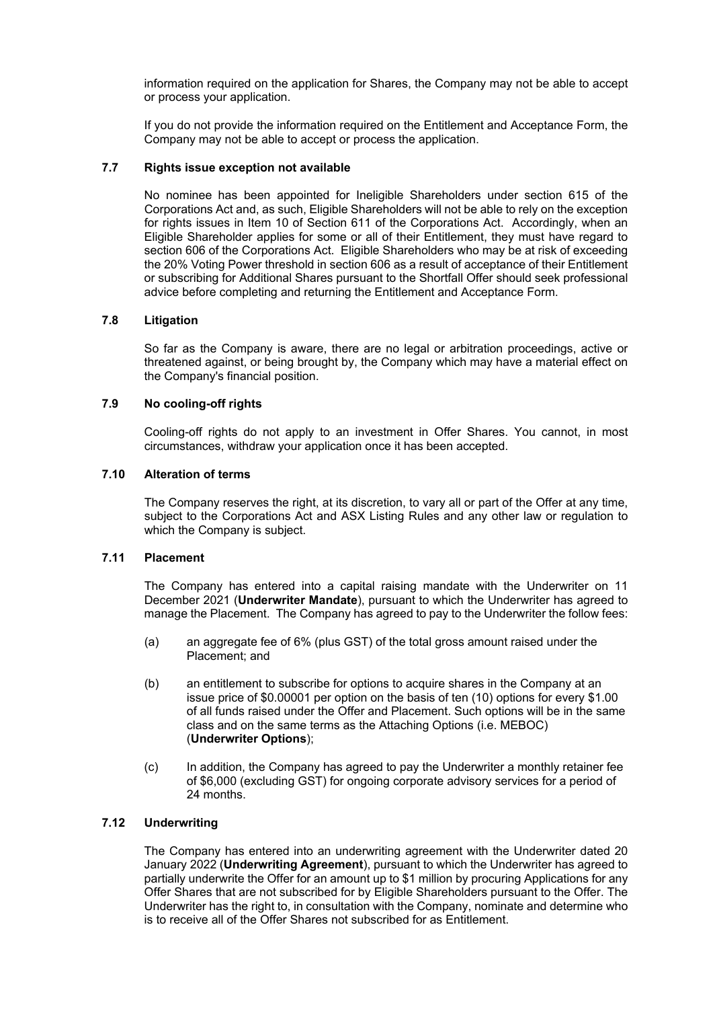information required on the application for Shares, the Company may not be able to accept or process your application.

If you do not provide the information required on the Entitlement and Acceptance Form, the Company may not be able to accept or process the application.

# **7.7 Rights issue exception not available**

No nominee has been appointed for Ineligible Shareholders under section 615 of the Corporations Act and, as such, Eligible Shareholders will not be able to rely on the exception for rights issues in Item 10 of Section 611 of the Corporations Act. Accordingly, when an Eligible Shareholder applies for some or all of their Entitlement, they must have regard to section 606 of the Corporations Act. Eligible Shareholders who may be at risk of exceeding the 20% Voting Power threshold in section 606 as a result of acceptance of their Entitlement or subscribing for Additional Shares pursuant to the Shortfall Offer should seek professional advice before completing and returning the Entitlement and Acceptance Form.

#### **7.8 Litigation**

So far as the Company is aware, there are no legal or arbitration proceedings, active or threatened against, or being brought by, the Company which may have a material effect on the Company's financial position.

## **7.9 No cooling-off rights**

Cooling-off rights do not apply to an investment in Offer Shares. You cannot, in most circumstances, withdraw your application once it has been accepted.

#### **7.10 Alteration of terms**

The Company reserves the right, at its discretion, to vary all or part of the Offer at any time, subject to the Corporations Act and ASX Listing Rules and any other law or regulation to which the Company is subject.

#### <span id="page-27-1"></span>**7.11 Placement**

The Company has entered into a capital raising mandate with the Underwriter on 11 December 2021 (**Underwriter Mandate**), pursuant to which the Underwriter has agreed to manage the Placement. The Company has agreed to pay to the Underwriter the follow fees:

- (a) an aggregate fee of 6% (plus GST) of the total gross amount raised under the Placement; and
- <span id="page-27-2"></span>(b) an entitlement to subscribe for options to acquire shares in the Company at an issue price of \$0.00001 per option on the basis of ten (10) options for every \$1.00 of all funds raised under the Offer and Placement. Such options will be in the same class and on the same terms as the Attaching Options (i.e. MEBOC) (**Underwriter Options**);
- (c) In addition, the Company has agreed to pay the Underwriter a monthly retainer fee of \$6,000 (excluding GST) for ongoing corporate advisory services for a period of 24 months.

# <span id="page-27-0"></span>**7.12 Underwriting**

The Company has entered into an underwriting agreement with the Underwriter dated 20 January 2022 (**Underwriting Agreement**), pursuant to which the Underwriter has agreed to partially underwrite the Offer for an amount up to \$1 million by procuring Applications for any Offer Shares that are not subscribed for by Eligible Shareholders pursuant to the Offer. The Underwriter has the right to, in consultation with the Company, nominate and determine who is to receive all of the Offer Shares not subscribed for as Entitlement.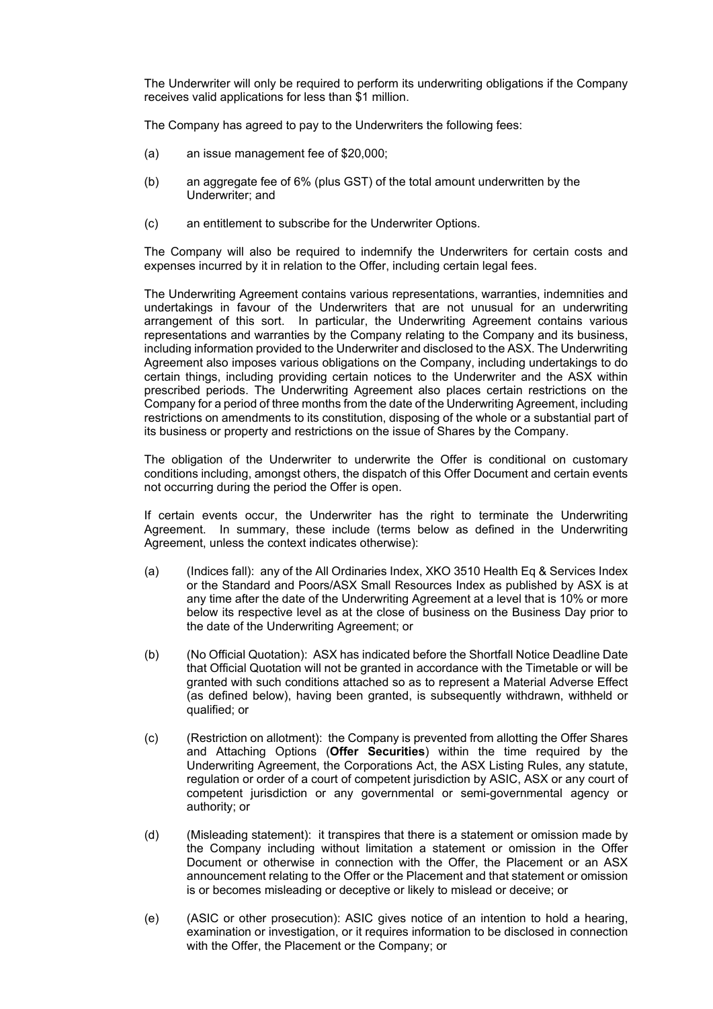The Underwriter will only be required to perform its underwriting obligations if the Company receives valid applications for less than \$1 million.

The Company has agreed to pay to the Underwriters the following fees:

- (a) an issue management fee of \$20,000;
- (b) an aggregate fee of 6% (plus GST) of the total amount underwritten by the Underwriter; and
- (c) an entitlement to subscribe for the Underwriter Options.

The Company will also be required to indemnify the Underwriters for certain costs and expenses incurred by it in relation to the Offer, including certain legal fees.

The Underwriting Agreement contains various representations, warranties, indemnities and undertakings in favour of the Underwriters that are not unusual for an underwriting arrangement of this sort. In particular, the Underwriting Agreement contains various representations and warranties by the Company relating to the Company and its business, including information provided to the Underwriter and disclosed to the ASX. The Underwriting Agreement also imposes various obligations on the Company, including undertakings to do certain things, including providing certain notices to the Underwriter and the ASX within prescribed periods. The Underwriting Agreement also places certain restrictions on the Company for a period of three months from the date of the Underwriting Agreement, including restrictions on amendments to its constitution, disposing of the whole or a substantial part of its business or property and restrictions on the issue of Shares by the Company.

The obligation of the Underwriter to underwrite the Offer is conditional on customary conditions including, amongst others, the dispatch of this Offer Document and certain events not occurring during the period the Offer is open.

If certain events occur, the Underwriter has the right to terminate the Underwriting Agreement. In summary, these include (terms below as defined in the Underwriting Agreement, unless the context indicates otherwise):

- (a) (Indices fall): any of the All Ordinaries Index, XKO 3510 Health Eq & Services Index or the Standard and Poors/ASX Small Resources Index as published by ASX is at any time after the date of the Underwriting Agreement at a level that is 10% or more below its respective level as at the close of business on the Business Day prior to the date of the Underwriting Agreement; or
- (b) (No Official Quotation): ASX has indicated before the Shortfall Notice Deadline Date that Official Quotation will not be granted in accordance with the Timetable or will be granted with such conditions attached so as to represent a Material Adverse Effect (as defined below), having been granted, is subsequently withdrawn, withheld or qualified; or
- (c) (Restriction on allotment): the Company is prevented from allotting the Offer Shares and Attaching Options (**Offer Securities**) within the time required by the Underwriting Agreement, the Corporations Act, the ASX Listing Rules, any statute, regulation or order of a court of competent jurisdiction by ASIC, ASX or any court of competent jurisdiction or any governmental or semi-governmental agency or authority; or
- (d) (Misleading statement): it transpires that there is a statement or omission made by the Company including without limitation a statement or omission in the Offer Document or otherwise in connection with the Offer, the Placement or an ASX announcement relating to the Offer or the Placement and that statement or omission is or becomes misleading or deceptive or likely to mislead or deceive; or
- (e) (ASIC or other prosecution): ASIC gives notice of an intention to hold a hearing, examination or investigation, or it requires information to be disclosed in connection with the Offer, the Placement or the Company; or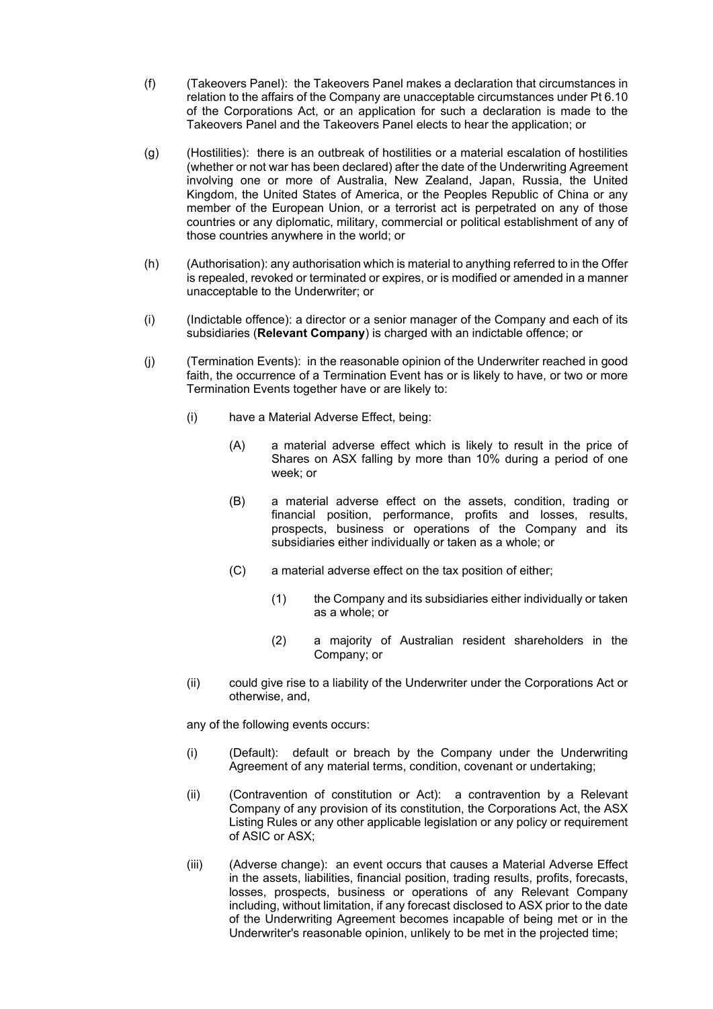- (f) (Takeovers Panel): the Takeovers Panel makes a declaration that circumstances in relation to the affairs of the Company are unacceptable circumstances under Pt 6.10 of the Corporations Act, or an application for such a declaration is made to the Takeovers Panel and the Takeovers Panel elects to hear the application; or
- (g) (Hostilities): there is an outbreak of hostilities or a material escalation of hostilities (whether or not war has been declared) after the date of the Underwriting Agreement involving one or more of Australia, New Zealand, Japan, Russia, the United Kingdom, the United States of America, or the Peoples Republic of China or any member of the European Union, or a terrorist act is perpetrated on any of those countries or any diplomatic, military, commercial or political establishment of any of those countries anywhere in the world; or
- (h) (Authorisation): any authorisation which is material to anything referred to in the Offer is repealed, revoked or terminated or expires, or is modified or amended in a manner unacceptable to the Underwriter; or
- (i) (Indictable offence): a director or a senior manager of the Company and each of its subsidiaries (**Relevant Company**) is charged with an indictable offence; or
- (j) (Termination Events): in the reasonable opinion of the Underwriter reached in good faith, the occurrence of a Termination Event has or is likely to have, or two or more Termination Events together have or are likely to:
	- (i) have a Material Adverse Effect, being:
		- (A) a material adverse effect which is likely to result in the price of Shares on ASX falling by more than 10% during a period of one week; or
		- (B) a material adverse effect on the assets, condition, trading or financial position, performance, profits and losses, results, prospects, business or operations of the Company and its subsidiaries either individually or taken as a whole; or
		- (C) a material adverse effect on the tax position of either;
			- (1) the Company and its subsidiaries either individually or taken as a whole; or
			- (2) a majority of Australian resident shareholders in the Company; or
	- (ii) could give rise to a liability of the Underwriter under the Corporations Act or otherwise, and,

any of the following events occurs:

- (i) (Default): default or breach by the Company under the Underwriting Agreement of any material terms, condition, covenant or undertaking;
- (ii) (Contravention of constitution or Act): a contravention by a Relevant Company of any provision of its constitution, the Corporations Act, the ASX Listing Rules or any other applicable legislation or any policy or requirement of ASIC or ASX;
- (iii) (Adverse change): an event occurs that causes a Material Adverse Effect in the assets, liabilities, financial position, trading results, profits, forecasts, losses, prospects, business or operations of any Relevant Company including, without limitation, if any forecast disclosed to ASX prior to the date of the Underwriting Agreement becomes incapable of being met or in the Underwriter's reasonable opinion, unlikely to be met in the projected time;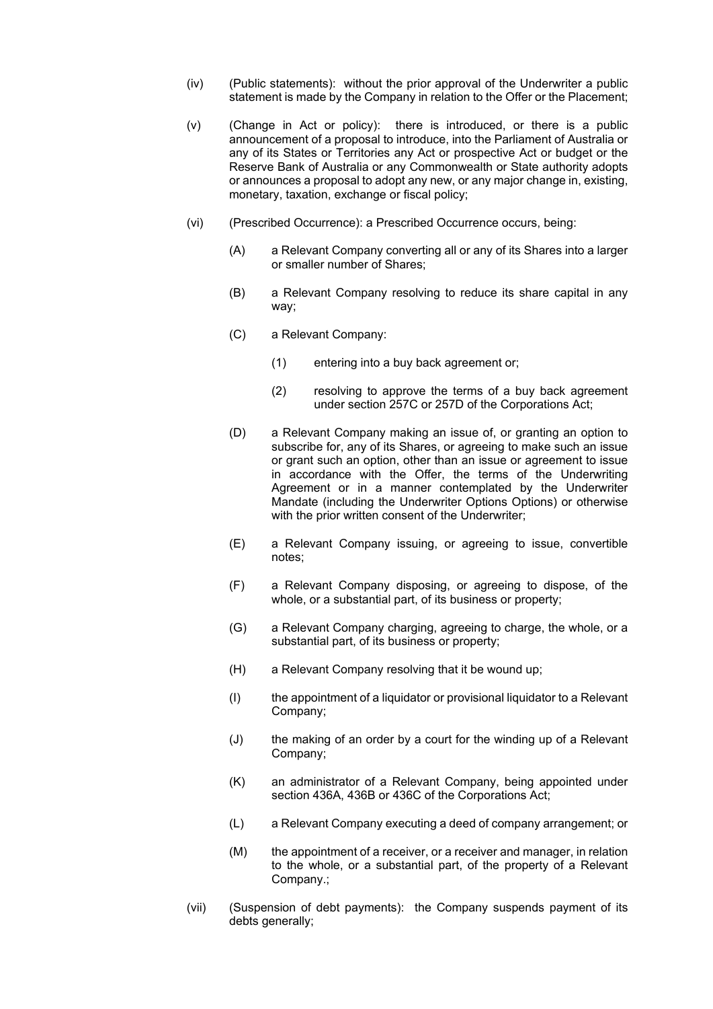- (iv) (Public statements): without the prior approval of the Underwriter a public statement is made by the Company in relation to the Offer or the Placement;
- (v) (Change in Act or policy): there is introduced, or there is a public announcement of a proposal to introduce, into the Parliament of Australia or any of its States or Territories any Act or prospective Act or budget or the Reserve Bank of Australia or any Commonwealth or State authority adopts or announces a proposal to adopt any new, or any major change in, existing, monetary, taxation, exchange or fiscal policy;
- (vi) (Prescribed Occurrence): a Prescribed Occurrence occurs, being:
	- (A) a Relevant Company converting all or any of its Shares into a larger or smaller number of Shares;
	- (B) a Relevant Company resolving to reduce its share capital in any way;
	- (C) a Relevant Company:
		- (1) entering into a buy back agreement or;
		- (2) resolving to approve the terms of a buy back agreement under section 257C or 257D of the Corporations Act;
	- (D) a Relevant Company making an issue of, or granting an option to subscribe for, any of its Shares, or agreeing to make such an issue or grant such an option, other than an issue or agreement to issue in accordance with the Offer, the terms of the Underwriting Agreement or in a manner contemplated by the Underwriter Mandate (including the Underwriter Options Options) or otherwise with the prior written consent of the Underwriter;
	- (E) a Relevant Company issuing, or agreeing to issue, convertible notes;
	- (F) a Relevant Company disposing, or agreeing to dispose, of the whole, or a substantial part, of its business or property;
	- (G) a Relevant Company charging, agreeing to charge, the whole, or a substantial part, of its business or property;
	- (H) a Relevant Company resolving that it be wound up;
	- (I) the appointment of a liquidator or provisional liquidator to a Relevant Company;
	- (J) the making of an order by a court for the winding up of a Relevant Company;
	- (K) an administrator of a Relevant Company, being appointed under section 436A, 436B or 436C of the Corporations Act;
	- (L) a Relevant Company executing a deed of company arrangement; or
	- (M) the appointment of a receiver, or a receiver and manager, in relation to the whole, or a substantial part, of the property of a Relevant Company.;
- (vii) (Suspension of debt payments): the Company suspends payment of its debts generally;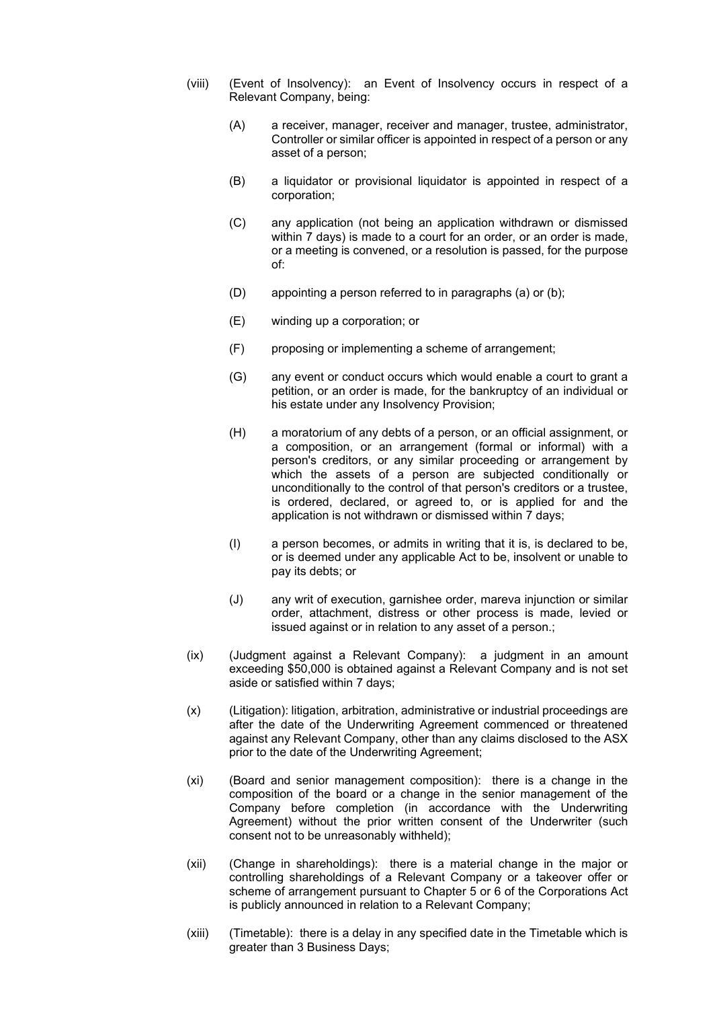- (viii) (Event of Insolvency): an Event of Insolvency occurs in respect of a Relevant Company, being:
	- (A) a receiver, manager, receiver and manager, trustee, administrator, Controller or similar officer is appointed in respect of a person or any asset of a person;
	- (B) a liquidator or provisional liquidator is appointed in respect of a corporation;
	- (C) any application (not being an application withdrawn or dismissed within 7 days) is made to a court for an order, or an order is made, or a meeting is convened, or a resolution is passed, for the purpose of:
	- (D) appointing a person referred to in paragraphs (a) or (b);
	- (E) winding up a corporation; or
	- (F) proposing or implementing a scheme of arrangement;
	- (G) any event or conduct occurs which would enable a court to grant a petition, or an order is made, for the bankruptcy of an individual or his estate under any Insolvency Provision;
	- (H) a moratorium of any debts of a person, or an official assignment, or a composition, or an arrangement (formal or informal) with a person's creditors, or any similar proceeding or arrangement by which the assets of a person are subjected conditionally or unconditionally to the control of that person's creditors or a trustee, is ordered, declared, or agreed to, or is applied for and the application is not withdrawn or dismissed within 7 days;
	- (I) a person becomes, or admits in writing that it is, is declared to be, or is deemed under any applicable Act to be, insolvent or unable to pay its debts; or
	- (J) any writ of execution, garnishee order, mareva injunction or similar order, attachment, distress or other process is made, levied or issued against or in relation to any asset of a person.;
- (ix) (Judgment against a Relevant Company): a judgment in an amount exceeding \$50,000 is obtained against a Relevant Company and is not set aside or satisfied within 7 days;
- (x) (Litigation): litigation, arbitration, administrative or industrial proceedings are after the date of the Underwriting Agreement commenced or threatened against any Relevant Company, other than any claims disclosed to the ASX prior to the date of the Underwriting Agreement;
- (xi) (Board and senior management composition): there is a change in the composition of the board or a change in the senior management of the Company before completion (in accordance with the Underwriting Agreement) without the prior written consent of the Underwriter (such consent not to be unreasonably withheld);
- (xii) (Change in shareholdings): there is a material change in the major or controlling shareholdings of a Relevant Company or a takeover offer or scheme of arrangement pursuant to Chapter 5 or 6 of the Corporations Act is publicly announced in relation to a Relevant Company;
- (xiii) (Timetable): there is a delay in any specified date in the Timetable which is greater than 3 Business Days;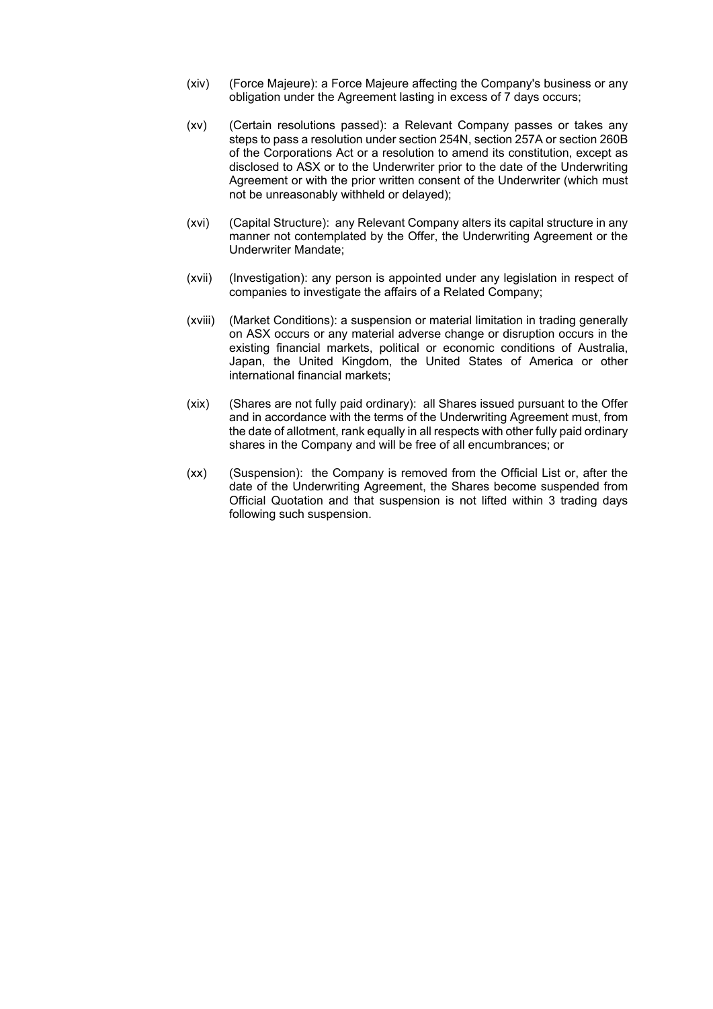- (xiv) (Force Majeure): a Force Majeure affecting the Company's business or any obligation under the Agreement lasting in excess of 7 days occurs;
- (xv) (Certain resolutions passed): a Relevant Company passes or takes any steps to pass a resolution under section 254N, section 257A or section 260B of the Corporations Act or a resolution to amend its constitution, except as disclosed to ASX or to the Underwriter prior to the date of the Underwriting Agreement or with the prior written consent of the Underwriter (which must not be unreasonably withheld or delayed);
- (xvi) (Capital Structure): any Relevant Company alters its capital structure in any manner not contemplated by the Offer, the Underwriting Agreement or the Underwriter Mandate;
- (xvii) (Investigation): any person is appointed under any legislation in respect of companies to investigate the affairs of a Related Company;
- (xviii) (Market Conditions): a suspension or material limitation in trading generally on ASX occurs or any material adverse change or disruption occurs in the existing financial markets, political or economic conditions of Australia, Japan, the United Kingdom, the United States of America or other international financial markets;
- (xix) (Shares are not fully paid ordinary): all Shares issued pursuant to the Offer and in accordance with the terms of the Underwriting Agreement must, from the date of allotment, rank equally in all respects with other fully paid ordinary shares in the Company and will be free of all encumbrances; or
- (xx) (Suspension): the Company is removed from the Official List or, after the date of the Underwriting Agreement, the Shares become suspended from Official Quotation and that suspension is not lifted within 3 trading days following such suspension.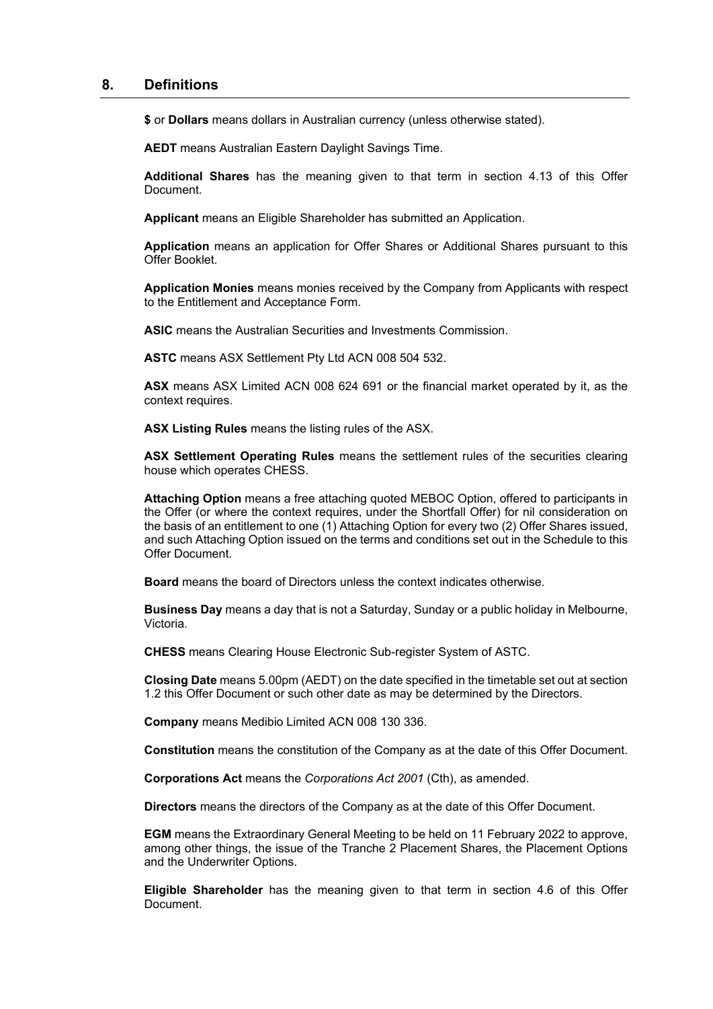# <span id="page-33-0"></span>**8. Definitions**

**\$** or **Dollars** means dollars in Australian currency (unless otherwise stated).

**AEDT** means Australian Eastern Daylight Savings Time.

**Additional Shares** has the meaning given to that term in section [4.13](#page-13-0) of this Offer Document.

**Applicant** means an Eligible Shareholder has submitted an Application.

**Application** means an application for Offer Shares or Additional Shares pursuant to this Offer Booklet.

**Application Monies** means monies received by the Company from Applicants with respect to the Entitlement and Acceptance Form.

**ASIC** means the Australian Securities and Investments Commission.

**ASTC** means ASX Settlement Pty Ltd ACN 008 504 532.

**ASX** means ASX Limited ACN 008 624 691 or the financial market operated by it, as the context requires.

**ASX Listing Rules** means the listing rules of the ASX.

**ASX Settlement Operating Rules** means the settlement rules of the securities clearing house which operates CHESS.

**Attaching Option** means a free attaching quoted MEBOC Option, offered to participants in the Offer (or where the context requires, under the Shortfall Offer) for nil consideration on the basis of an entitlement to one (1) Attaching Option for every two (2) Offer Shares issued, and such Attaching Option issued on the terms and conditions set out in the Schedule to this Offer Document.

**Board** means the board of Directors unless the context indicates otherwise.

**Business Day** means a day that is not a Saturday, Sunday or a public holiday in Melbourne, Victoria.

**CHESS** means Clearing House Electronic Sub-register System of ASTC.

**Closing Date** means 5.00pm (AEDT) on the date specified in the timetable set out at section [1.2](#page-2-0) this Offer Document or such other date as may be determined by the Directors.

**Company** means Medibio Limited ACN 008 130 336.

**Constitution** means the constitution of the Company as at the date of this Offer Document.

**Corporations Act** means the *Corporations Act 2001* (Cth), as amended.

**Directors** means the directors of the Company as at the date of this Offer Document.

**EGM** means the Extraordinary General Meeting to be held on 11 February 2022 to approve, among other things, the issue of the Tranche 2 Placement Shares, the Placement Options and the Underwriter Options.

**Eligible Shareholder** has the meaning given to that term in section [4.6](#page-10-1) of this Offer Document.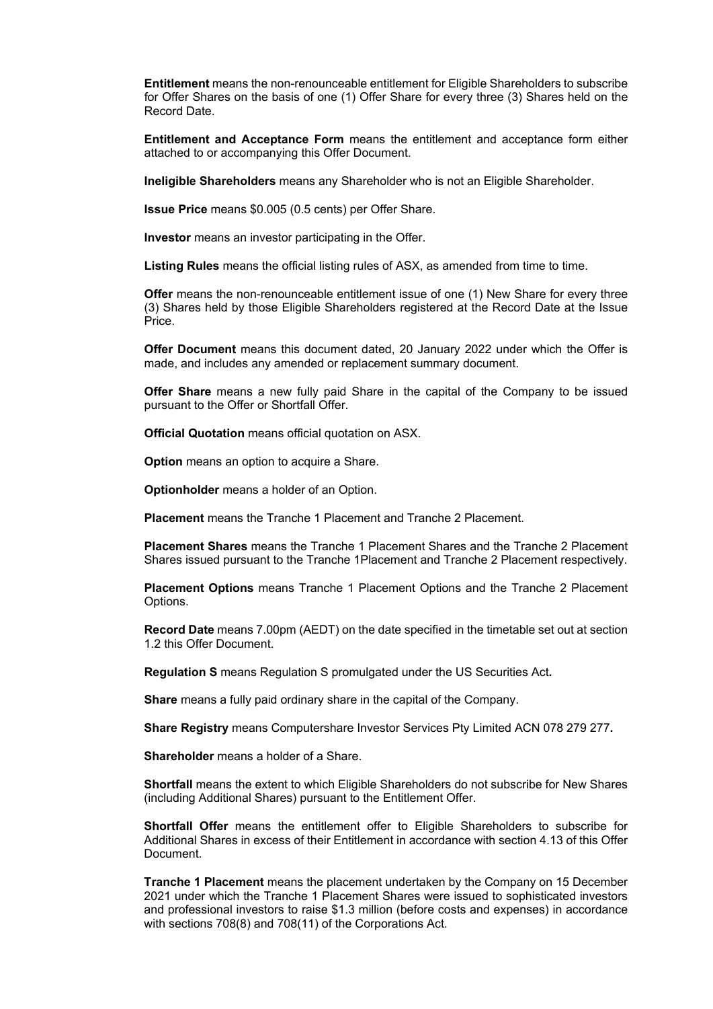**Entitlement** means the non-renounceable entitlement for Eligible Shareholders to subscribe for Offer Shares on the basis of one (1) Offer Share for every three (3) Shares held on the Record Date.

**Entitlement and Acceptance Form** means the entitlement and acceptance form either attached to or accompanying this Offer Document.

**Ineligible Shareholders** means any Shareholder who is not an Eligible Shareholder.

**Issue Price** means \$0.005 (0.5 cents) per Offer Share.

**Investor** means an investor participating in the Offer.

**Listing Rules** means the official listing rules of ASX, as amended from time to time.

**Offer** means the non-renounceable entitlement issue of one (1) New Share for every three (3) Shares held by those Eligible Shareholders registered at the Record Date at the Issue Price.

**Offer Document** means this document dated, 20 January 2022 under which the Offer is made, and includes any amended or replacement summary document.

**Offer Share** means a new fully paid Share in the capital of the Company to be issued pursuant to the Offer or Shortfall Offer.

**Official Quotation** means official quotation on ASX.

**Option** means an option to acquire a Share.

**Optionholder** means a holder of an Option.

**Placement** means the Tranche 1 Placement and Tranche 2 Placement.

**Placement Shares** means the Tranche 1 Placement Shares and the Tranche 2 Placement Shares issued pursuant to the Tranche 1Placement and Tranche 2 Placement respectively.

**Placement Options** means Tranche 1 Placement Options and the Tranche 2 Placement Options.

**Record Date** means 7.00pm (AEDT) on the date specified in the timetable set out at section [1.2](#page-2-0) this Offer Document.

**Regulation S** means Regulation S promulgated under the US Securities Act**.**

**Share** means a fully paid ordinary share in the capital of the Company.

**Share Registry** means Computershare Investor Services Pty Limited ACN 078 279 277**.**

**Shareholder** means a holder of a Share.

**Shortfall** means the extent to which Eligible Shareholders do not subscribe for New Shares (including Additional Shares) pursuant to the Entitlement Offer.

**Shortfall Offer** means the entitlement offer to Eligible Shareholders to subscribe for Additional Shares in excess of their Entitlement in accordance with section [4.13](#page-13-0) of this Offer Document.

**Tranche 1 Placement** means the placement undertaken by the Company on 15 December 2021 under which the Tranche 1 Placement Shares were issued to sophisticated investors and professional investors to raise \$1.3 million (before costs and expenses) in accordance with sections 708(8) and 708(11) of the Corporations Act.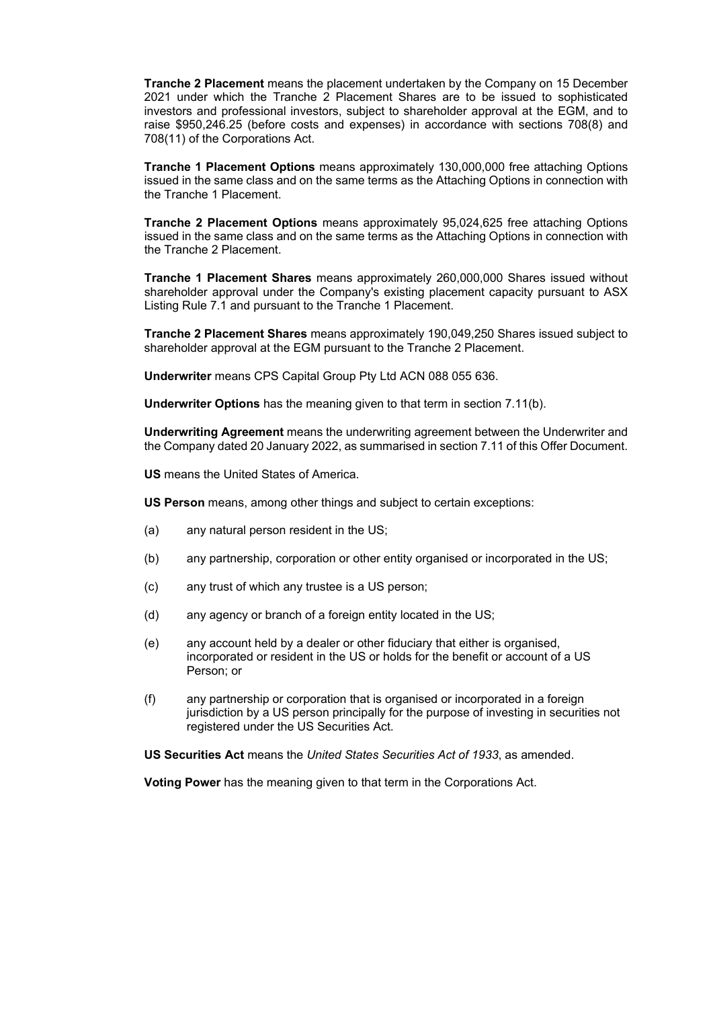**Tranche 2 Placement** means the placement undertaken by the Company on 15 December 2021 under which the Tranche 2 Placement Shares are to be issued to sophisticated investors and professional investors, subject to shareholder approval at the EGM, and to raise \$950,246.25 (before costs and expenses) in accordance with sections 708(8) and 708(11) of the Corporations Act.

**Tranche 1 Placement Options** means approximately 130,000,000 free attaching Options issued in the same class and on the same terms as the Attaching Options in connection with the Tranche 1 Placement.

**Tranche 2 Placement Options** means approximately 95,024,625 free attaching Options issued in the same class and on the same terms as the Attaching Options in connection with the Tranche 2 Placement.

**Tranche 1 Placement Shares** means approximately 260,000,000 Shares issued without shareholder approval under the Company's existing placement capacity pursuant to ASX Listing Rule 7.1 and pursuant to the Tranche 1 Placement.

**Tranche 2 Placement Shares** means approximately 190,049,250 Shares issued subject to shareholder approval at the EGM pursuant to the Tranche 2 Placement.

**Underwriter** means CPS Capital Group Pty Ltd ACN 088 055 636.

**Underwriter Options** has the meaning given to that term in sectio[n 7.11](#page-27-1)[\(b\).](#page-27-2)

**Underwriting Agreement** means the underwriting agreement between the Underwriter and the Company dated 20 January 2022, as summarised in sectio[n 7.11](#page-27-1) of this Offer Document.

**US** means the United States of America.

**US Person** means, among other things and subject to certain exceptions:

- (a) any natural person resident in the US;
- (b) any partnership, corporation or other entity organised or incorporated in the US;
- (c) any trust of which any trustee is a US person;
- (d) any agency or branch of a foreign entity located in the US;
- (e) any account held by a dealer or other fiduciary that either is organised, incorporated or resident in the US or holds for the benefit or account of a US Person; or
- (f) any partnership or corporation that is organised or incorporated in a foreign jurisdiction by a US person principally for the purpose of investing in securities not registered under the US Securities Act.

**US Securities Act** means the *United States Securities Act of 1933*, as amended.

**Voting Power** has the meaning given to that term in the Corporations Act.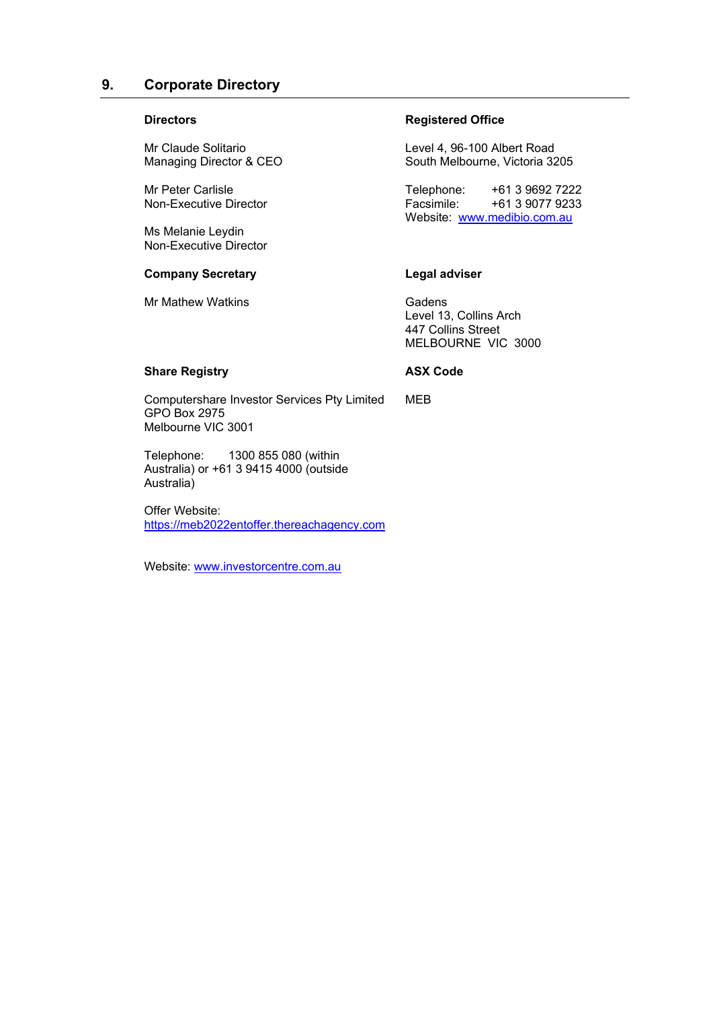# **9. Corporate Directory**

#### **Directors**

Mr Claude Solitario Managing Director & CEO

Mr Peter Carlisle Non-Executive Director

Ms Melanie Leydin Non-Executive Director

#### **Company Secretary**

Mr Mathew Watkins

# **Registered Office**

Level 4, 96-100 Albert Road South Melbourne, Victoria 3205

Telephone: +61 3 9692 7222<br>Facsimile: +61 3 9077 9233 Facsimile: +61 3 9077 9233 Website: [www.medibio.com.au](http://www.medibio.com.au/)

#### **Legal adviser**

Gadens Level 13, Collins Arch 447 Collins Street MELBOURNE VIC 3000

# **Share Registry**

**ASX Code**

MEB

Computershare Investor Services Pty Limited GPO Box 2975 Melbourne VIC 3001

Telephone: 1300 855 080 (within Australia) or +61 3 9415 4000 (outside Australia)

Offer Website: [https://meb2022entoffer.thereachagency.com](https://meb2022entoffer.thereachagency.com/)

Website: [www.investorcentre.com.au](http://www.investorcentre.com.au/)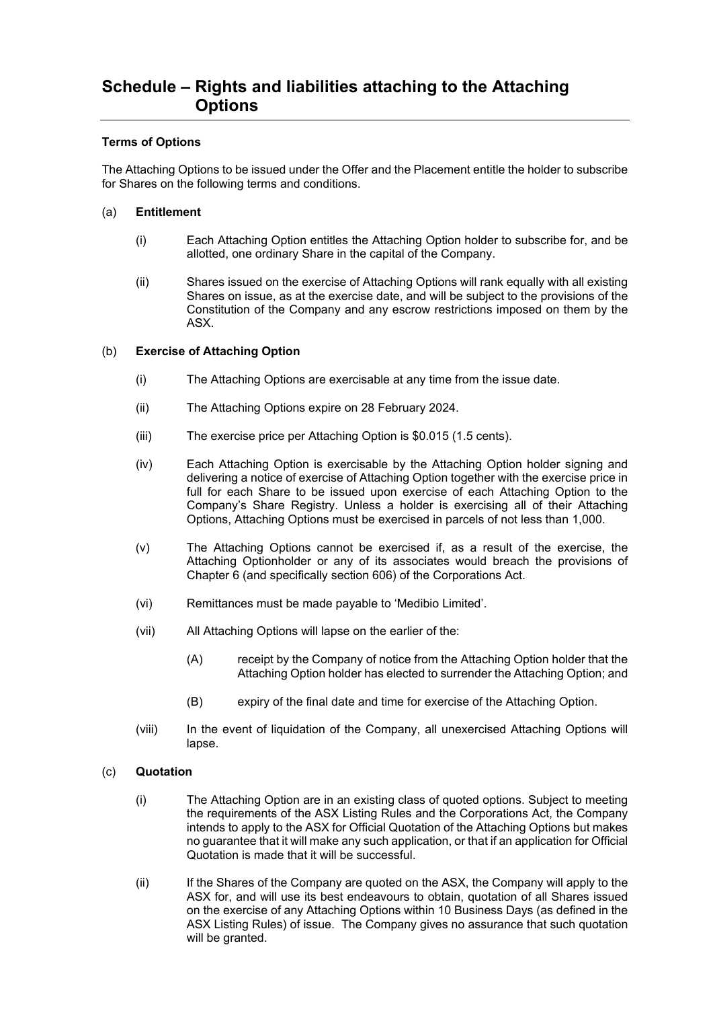# **Schedule – Rights and liabilities attaching to the Attaching Options**

#### **Terms of Options**

The Attaching Options to be issued under the Offer and the Placement entitle the holder to subscribe for Shares on the following terms and conditions.

#### (a) **Entitlement**

- (i) Each Attaching Option entitles the Attaching Option holder to subscribe for, and be allotted, one ordinary Share in the capital of the Company.
- (ii) Shares issued on the exercise of Attaching Options will rank equally with all existing Shares on issue, as at the exercise date, and will be subject to the provisions of the Constitution of the Company and any escrow restrictions imposed on them by the ASX.

#### (b) **Exercise of Attaching Option**

- (i) The Attaching Options are exercisable at any time from the issue date.
- (ii) The Attaching Options expire on 28 February 2024.
- (iii) The exercise price per Attaching Option is \$0.015 (1.5 cents).
- (iv) Each Attaching Option is exercisable by the Attaching Option holder signing and delivering a notice of exercise of Attaching Option together with the exercise price in full for each Share to be issued upon exercise of each Attaching Option to the Company's Share Registry. Unless a holder is exercising all of their Attaching Options, Attaching Options must be exercised in parcels of not less than 1,000.
- (v) The Attaching Options cannot be exercised if, as a result of the exercise, the Attaching Optionholder or any of its associates would breach the provisions of Chapter 6 (and specifically section 606) of the Corporations Act.
- (vi) Remittances must be made payable to 'Medibio Limited'.
- (vii) All Attaching Options will lapse on the earlier of the:
	- (A) receipt by the Company of notice from the Attaching Option holder that the Attaching Option holder has elected to surrender the Attaching Option; and
	- (B) expiry of the final date and time for exercise of the Attaching Option.
- (viii) In the event of liquidation of the Company, all unexercised Attaching Options will lapse.

#### (c) **Quotation**

- (i) The Attaching Option are in an existing class of quoted options. Subject to meeting the requirements of the ASX Listing Rules and the Corporations Act, the Company intends to apply to the ASX for Official Quotation of the Attaching Options but makes no guarantee that it will make any such application, or that if an application for Official Quotation is made that it will be successful.
- (ii) If the Shares of the Company are quoted on the ASX, the Company will apply to the ASX for, and will use its best endeavours to obtain, quotation of all Shares issued on the exercise of any Attaching Options within 10 Business Days (as defined in the ASX Listing Rules) of issue. The Company gives no assurance that such quotation will be granted.